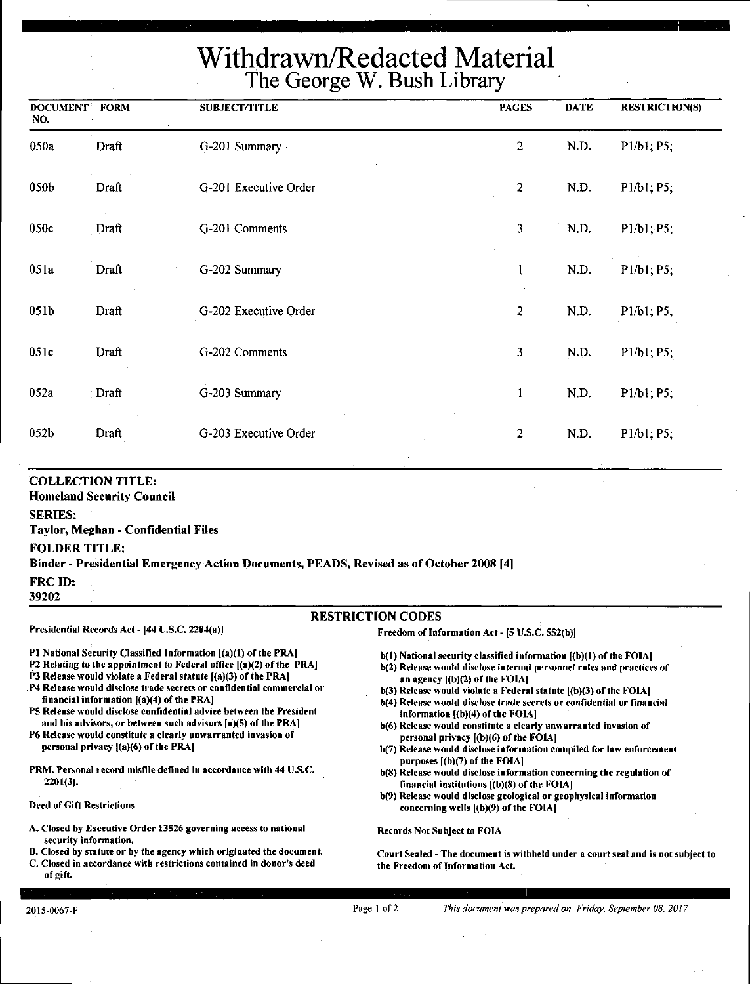# Withdrawn/Redacted Material The George W. Bush Library

| <b>PAGES</b>   | <b>RESTRICTION(S)</b><br><b>DATE</b> |
|----------------|--------------------------------------|
| $\overline{2}$ | N.D.<br>P1/b1; P5;                   |
| $\overline{2}$ | N.D.<br>P1/b1; P5;                   |
| 3              | N.D.<br>P1/b1; P5;                   |
|                | N.D.<br>P1/b1; P5;                   |
| 2              | N.D.<br>P1/b1; P5;                   |
| 3              | P1/b1; P5;<br>N.D.                   |
| $\mathbf{1}$   | N.D.<br>P1/b1; P5;                   |
| $\overline{2}$ | N.D.<br>P1/b1; P5;                   |
|                |                                      |
|                |                                      |

FRC ID:

#### 39202

#### **RESTRICTION CODES**

#### Presidential Records Act - [44 U.S.C. 2204(a)]

financial information f(a)(4) of the PRAJ

personal privacy ((a)(6) of the PRA)

#### Freedom of Information Act - [5 U.S.C. SS2(b))

Pl National Security Classified Information ((a)(l) of the PRA) P2 Relating to the appointment to Federal office ((a)(2) of the PRA] P3 Release would violate a Federal statute [(a)(3) of the PRA] P4 Release would disclose trade secrets or confidential commercial or

PS Release would disclose confidential advice between the President and his advisors, or between such advisors (a)(S) of the PRA) P6 Release would constitute a clearly unwarranted invasion of

PRM. Personal record misfile defined in accordance with 44 U.S.C.

- b(l) National security classified information ((b)(l) of the FOIA)
- b(2) Release would disclose internal personnel rules and practices of **an** agency ((b)(2) of the FOIAI
- b(3) Release would violate a Federal statute [(b)(3) of the FOIA)
- b(4) Release would disclose trade secrets or confidential or financial information ((b)(4) of the FOIAI
- b(6) Release would constitute a clearly unwarranted invasion of personal privacy ((b)(6) of the FOIAI
- b(7) Release would disclose information compiled for law enforcement purposes ((b)(7) of the **FOIAI**
- b(8) Release would disclose information concerning the regulation of financial institutions ((b)(8) of the FOIA)
- b(9) Release would disclose geological or geophysical information concerning wells ((b)(9) of the FOIA)

Records Not Subject to FOIA

Court Sealed - The document is withheld under a court seal and is not subject to the Freedom of Information Act.

|     | <b>Deed of Gift Restrictions</b> |  |   |
|-----|----------------------------------|--|---|
| --- |                                  |  | - |

2201(3).

- A. Closed by Executive Order 13526 governing access to national security information.
- B. Closed by statute or by the agency which originated the document. C. Closed in accordance with restrictions contained in donor's deed of gift.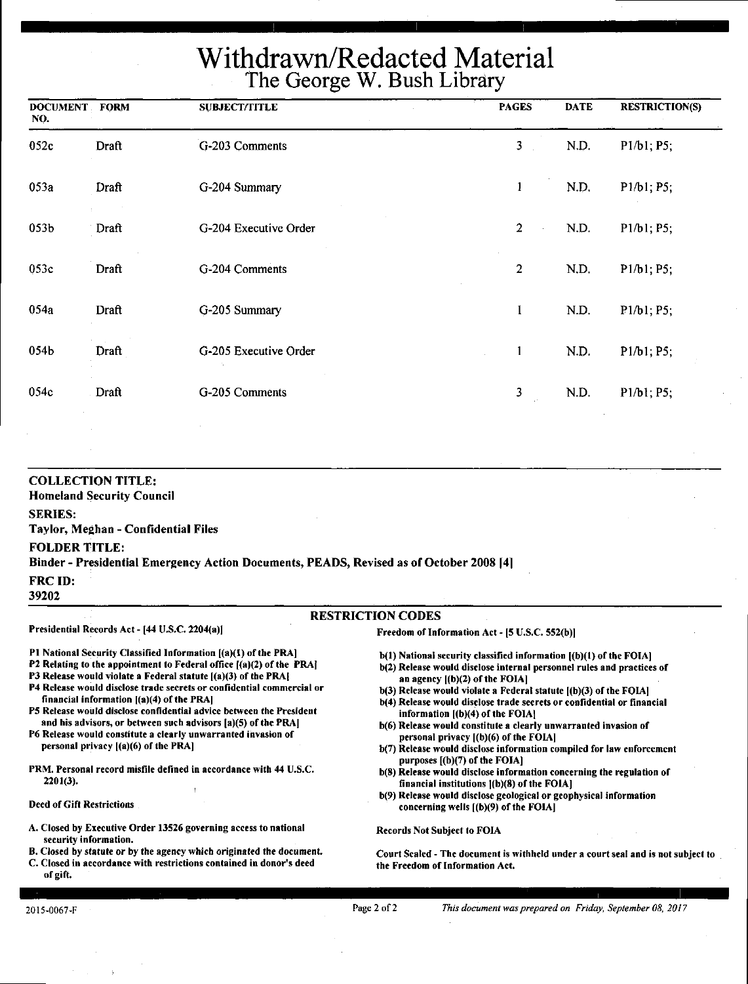# **Withdrawn/Redacted** Material **The George W. Bush** Library

| <b>DOCUMENT</b><br>NO. | <b>FORM</b> | <b>SUBJECT/TITLE</b>  | <b>PAGES</b>   | <b>DATE</b> | <b>RESTRICTION(S)</b> |
|------------------------|-------------|-----------------------|----------------|-------------|-----------------------|
| 052c                   | Draft       | G-203 Comments        | 3 <sup>1</sup> | N.D.        | P1/b1; P5;            |
| 053a                   | Draft       | G-204 Summary         | $\bf{l}$       | N.D.        | P1/b1; P5;            |
| 053b                   | Draft       | G-204 Executive Order | $\overline{2}$ | N.D.        | P1/b1; P5;            |
| 053c                   | Draft       | G-204 Comments        | $\overline{c}$ | N.D.        | P1/b1; P5;            |
| 054a                   | Draft       | G-205 Summary         | 1              | N.D.        | P1/b1; P5;            |
| 054b                   | Draft       | G-205 Executive Order | 1              | N.D.        | P1/b1; P5;            |
| 054c                   | Draft       | G-205 Comments        | 3              | N.D.        | P1/b1; P5;            |

#### **COLLECTION TITLE: Homeland Security Council SERIES: Taylor, Meghan** - **Confidential Files FOLDER TITLE: Binder** - **Presidential Emergency Action Documents, PEADS, Revised as of October 2008 [41 FRCID:**  39202

#### Presidential Records Act- (44 U.S.C. 2204(a))

#### **RESTRICTION** CODES

financial information ((a)(4) of the PRAJ

personal privacy ((a)(6) of the PRA]

Pl National Security Classified Information [(a)(l) of the PRA) P2 Relating to the appointment to Federal office  $[(a)(2)$  of the PRA] P3 Release would violate a Federal statute  $[(a)(3)$  of the PRAI P4 Release would disclose trade secrets or confidential commercial or

PS Release would disclose confidential advice between the President and his advisors, or between such advisors (a)(S) of the PRAJ P6 Release would constitute a clearly unwarranted invasion of

PRM. Personal record misfile defined in accordance with 44 U.S.C.

Freedom of Information Act - [5 U.S.C. 552(b)]

- b(l) National security classified information ((b)(l) of the FOIA] b(2) Release would disclose internal personnel rules and practices of
- an agency ((b)(2) of the FOIAI
- $b(3)$  Release would violate a Federal statute  $[(b)(3)$  of the FOIA]
- b(4) Release would disclose trade secrets or confidential or financial information ((b)(4) of the FOIAJ
- b(6) Release would constitute a clearly unwarranted invasion of personal privacy ((b)(6) of the FOIA)
- b(7) Release would disclose information compiled for law enforcement purposes [(b)(7) of the FOIA]
- b(8) Release would disclose information concerning the regulation of financial institutions l(b)(S) of the FOIAJ
- b(9) Release would disclose geological or geophysical information concerning wells [(b)(9) of the FOIA]

Records Not Subject to FOIA

Court Sealed - The document is withheld under a court seal and is not subject to the Freedom of Information Act.

#### B. Closed by statute or by the agency which originated the document.

Deed of Gift Restrictions

security information.

2201(3).

C. Closed in accordance with restrictions contained in donor's deed of gift.

A. Closed by Executive Order 13526 governing access to national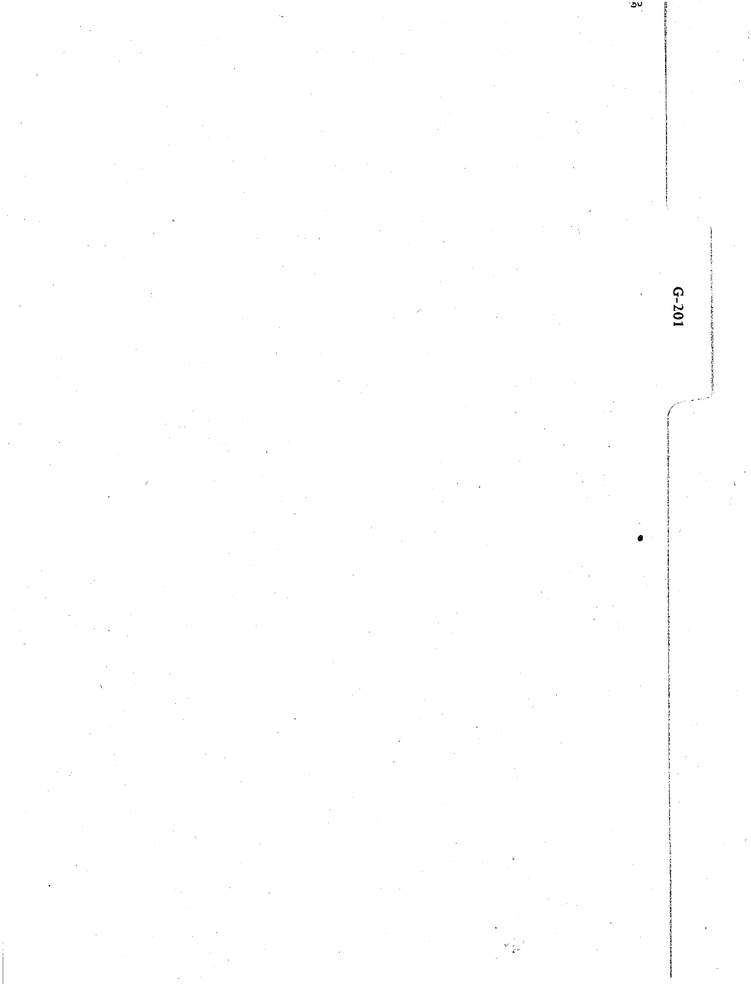$G-201$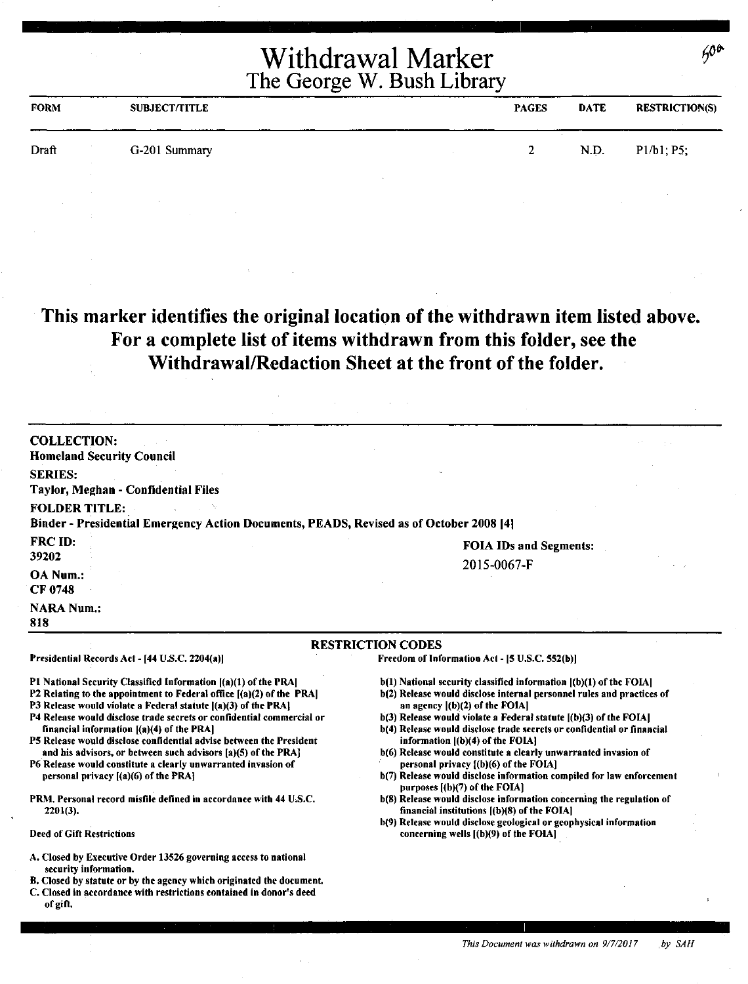| <b>FORM</b> | <b>SUBJECT/TITLE</b> |  | <b>PAGES</b>   | <b>DATE</b> | RESTRICTION(S) |
|-------------|----------------------|--|----------------|-------------|----------------|
| Draft       | G-201 Summary        |  | $\overline{2}$ | N.D.        | P1/b1; P5;     |
|             |                      |  |                |             |                |

### **This marker identifies the original location of the withdrawn item listed above. For a complete list of items withdrawn from this folder, see the Withdrawal/Redaction Sheet at the front of the folder.**

| <b>COLLECTION:</b><br><b>Homeland Security Council</b>                                                                                                                                                                                                                                                                                                                                                                                                                                                                                                                                                                                                                                                             |                                                                                                                                                                                                                                                                                                                                                                                                                                                                                                                                                                                                                                                                                                                                                                                                                                 |
|--------------------------------------------------------------------------------------------------------------------------------------------------------------------------------------------------------------------------------------------------------------------------------------------------------------------------------------------------------------------------------------------------------------------------------------------------------------------------------------------------------------------------------------------------------------------------------------------------------------------------------------------------------------------------------------------------------------------|---------------------------------------------------------------------------------------------------------------------------------------------------------------------------------------------------------------------------------------------------------------------------------------------------------------------------------------------------------------------------------------------------------------------------------------------------------------------------------------------------------------------------------------------------------------------------------------------------------------------------------------------------------------------------------------------------------------------------------------------------------------------------------------------------------------------------------|
| <b>SERIES:</b>                                                                                                                                                                                                                                                                                                                                                                                                                                                                                                                                                                                                                                                                                                     |                                                                                                                                                                                                                                                                                                                                                                                                                                                                                                                                                                                                                                                                                                                                                                                                                                 |
| Taylor, Meghan - Confidential Files                                                                                                                                                                                                                                                                                                                                                                                                                                                                                                                                                                                                                                                                                |                                                                                                                                                                                                                                                                                                                                                                                                                                                                                                                                                                                                                                                                                                                                                                                                                                 |
| <b>FOLDER TITLE:</b>                                                                                                                                                                                                                                                                                                                                                                                                                                                                                                                                                                                                                                                                                               |                                                                                                                                                                                                                                                                                                                                                                                                                                                                                                                                                                                                                                                                                                                                                                                                                                 |
| Binder - Presidential Emergency Action Documents, PEADS, Revised as of October 2008 [4]                                                                                                                                                                                                                                                                                                                                                                                                                                                                                                                                                                                                                            |                                                                                                                                                                                                                                                                                                                                                                                                                                                                                                                                                                                                                                                                                                                                                                                                                                 |
| <b>FRC ID:</b>                                                                                                                                                                                                                                                                                                                                                                                                                                                                                                                                                                                                                                                                                                     |                                                                                                                                                                                                                                                                                                                                                                                                                                                                                                                                                                                                                                                                                                                                                                                                                                 |
| 39202                                                                                                                                                                                                                                                                                                                                                                                                                                                                                                                                                                                                                                                                                                              | <b>FOIA IDs and Segments:</b>                                                                                                                                                                                                                                                                                                                                                                                                                                                                                                                                                                                                                                                                                                                                                                                                   |
| OA Num.:                                                                                                                                                                                                                                                                                                                                                                                                                                                                                                                                                                                                                                                                                                           | 2015-0067-F                                                                                                                                                                                                                                                                                                                                                                                                                                                                                                                                                                                                                                                                                                                                                                                                                     |
| CF 0748                                                                                                                                                                                                                                                                                                                                                                                                                                                                                                                                                                                                                                                                                                            |                                                                                                                                                                                                                                                                                                                                                                                                                                                                                                                                                                                                                                                                                                                                                                                                                                 |
| <b>NARA Num.:</b>                                                                                                                                                                                                                                                                                                                                                                                                                                                                                                                                                                                                                                                                                                  |                                                                                                                                                                                                                                                                                                                                                                                                                                                                                                                                                                                                                                                                                                                                                                                                                                 |
| 818                                                                                                                                                                                                                                                                                                                                                                                                                                                                                                                                                                                                                                                                                                                |                                                                                                                                                                                                                                                                                                                                                                                                                                                                                                                                                                                                                                                                                                                                                                                                                                 |
|                                                                                                                                                                                                                                                                                                                                                                                                                                                                                                                                                                                                                                                                                                                    | <b>RESTRICTION CODES</b>                                                                                                                                                                                                                                                                                                                                                                                                                                                                                                                                                                                                                                                                                                                                                                                                        |
| Presidential Records Act - [44 U.S.C. 2204(a)]                                                                                                                                                                                                                                                                                                                                                                                                                                                                                                                                                                                                                                                                     | Freedom of Information Act - [5 U.S.C. 552(b)]                                                                                                                                                                                                                                                                                                                                                                                                                                                                                                                                                                                                                                                                                                                                                                                  |
| P1 National Security Classified Information [(a)(1) of the PRA]<br>P2 Relating to the appointment to Federal office [(a)(2) of the PRA]<br>P3 Release would violate a Federal statute $[(a)(3)$ of the PRA $]$<br>P4 Release would disclose trade secrets or confidential commercial or<br>financial information [(a)(4) of the PRA]<br>P5 Release would disclose confidential advise between the President<br>and his advisors, or between such advisors (a)(5) of the PRA]<br>P6 Release would constitute a clearly unwarranted invasion of<br>personal privacy $[(a)(6)$ of the PRA $]$<br>PRM. Personal record misfile defined in accordance with 44 U.S.C.<br>$2201(3)$ .<br><b>Deed of Gift Restrictions</b> | b(1) National security classified information ((b)(1) of the FOIA)<br>b(2) Release would disclose internal personnel rules and practices of<br>an agency $ (b)(2)$ of the FOIA]<br>b(3) Release would violate a Federal statute [(b)(3) of the FOIA]<br>b(4) Release would disclose trade secrets or confidential or financial<br>information $(6)(4)$ of the FOIA]<br>b(6) Release would constitute a clearly unwarranted invasion of<br>personal privacy [(b)(6) of the FOIA]<br>b(7) Release would disclose information compiled for law enforcement<br>purposes [(b)(7) of the FOIA]<br>b(8) Release would disclose information concerning the regulation of<br>financial institutions $[(b)(8)$ of the FOIA]<br>b(9) Release would disclose geological or geophysical information<br>concerning wells [(b)(9) of the FOIA] |
| A. Closed by Executive Order 13526 governing access to national<br>security information.<br>B. Closed by statute or by the agency which originated the document.<br>C. Closed in accordance with restrictions contained in donor's deed<br>of gift.                                                                                                                                                                                                                                                                                                                                                                                                                                                                |                                                                                                                                                                                                                                                                                                                                                                                                                                                                                                                                                                                                                                                                                                                                                                                                                                 |

 $60^{\circ}$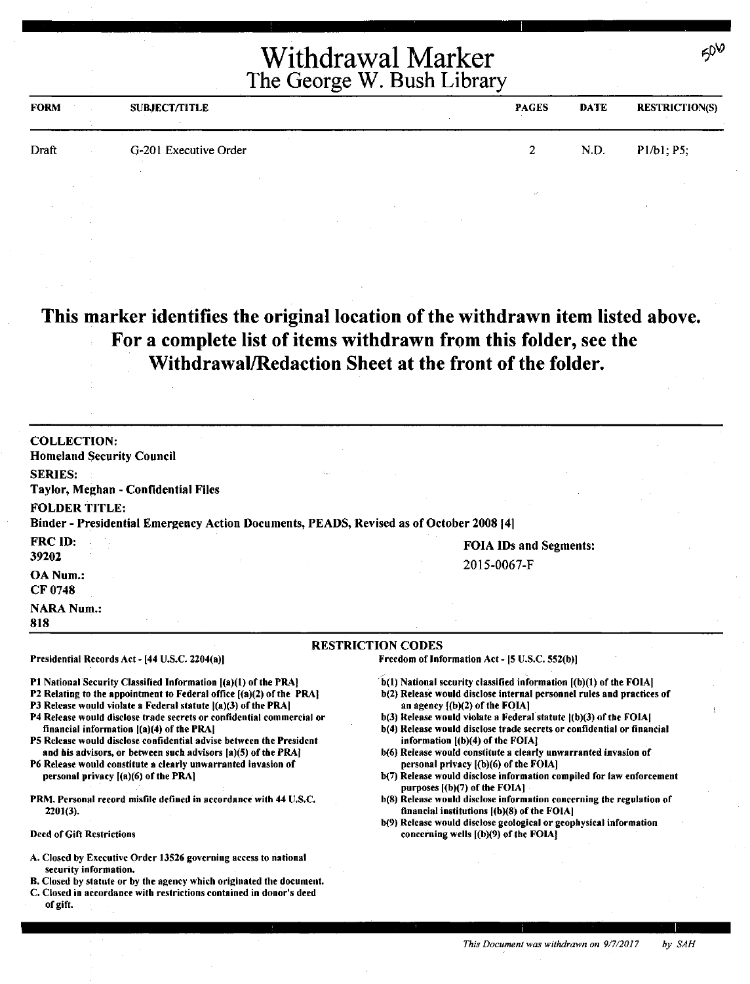| <b>FORM</b> | <b>SUBJECT/TITLE</b>  | <b>PAGES</b> | <b>DATE</b> | <b>RESTRICTION(S)</b> |
|-------------|-----------------------|--------------|-------------|-----------------------|
| Draft       | G-201 Executive Order |              | N.D.        | P1/b1; P5;            |
|             |                       |              |             |                       |

# **This marker identifies the original location of the withdrawn item listed above. For a complete list of items withdrawn from this folder, see the Withdrawal/Redaction Sheet at the front of** the **folder.**

| <b>COLLECTION:</b>                                                                                                                       |                                                                                                            |
|------------------------------------------------------------------------------------------------------------------------------------------|------------------------------------------------------------------------------------------------------------|
| <b>Homeland Security Council</b>                                                                                                         |                                                                                                            |
| <b>SERIES:</b>                                                                                                                           |                                                                                                            |
| Taylor, Meghan - Confidential Files                                                                                                      |                                                                                                            |
| <b>FOLDER TITLE:</b>                                                                                                                     |                                                                                                            |
| Binder - Presidential Emergency Action Documents, PEADS, Revised as of October 2008 [4]                                                  |                                                                                                            |
| FRC ID:                                                                                                                                  | <b>FOIA IDs and Segments:</b>                                                                              |
| 39202                                                                                                                                    | 2015-0067-F                                                                                                |
| <b>OA Num.:</b>                                                                                                                          |                                                                                                            |
| CF 0748                                                                                                                                  |                                                                                                            |
| <b>NARA Num.:</b>                                                                                                                        |                                                                                                            |
| 818                                                                                                                                      |                                                                                                            |
|                                                                                                                                          |                                                                                                            |
|                                                                                                                                          | <b>RESTRICTION CODES</b>                                                                                   |
| Presidential Records Act - [44 U.S.C. 2204(a)]                                                                                           | Freedom of Information Act - [5 U.S.C. 552(b)]                                                             |
| P1 National Security Classified Information [(a)(1) of the PRA]                                                                          | b(1) National security classified information [(b)(1) of the FOIA]                                         |
| P2 Relating to the appointment to Federal office [(a)(2) of the PRA]<br>P3 Release would violate a Federal statute $ (a)(3)$ of the PRA] | b(2) Release would disclose internal personnel rules and practices of<br>an agency $[(b)(2)$ of the FOIA]  |
| P4 Release would disclose trade secrets or confidential commercial or                                                                    | $b(3)$ Release would violate a Federal statute $(6)(3)$ of the FOIA                                        |
| financial information $[(a)(4)$ of the PRA]                                                                                              | b(4) Release would disclose trade secrets or confidential or financial                                     |
| P5 Release would disclose confidential advise between the President                                                                      | information [(b)(4) of the FOIA]                                                                           |
| and his advisors, or between such advisors [a](5) of the PRA]<br>P6 Release would constitute a clearly unwarranted invasion of           | b(6) Release would constitute a clearly unwarranted invasion of<br>personal privacy ((b)(6) of the FOIA]   |
| personal privacy $[(a)(6)$ of the PRA]                                                                                                   | b(7) Release would disclose information compiled for law enforcement<br>purposes $[(b)(7)$ of the FOIA]    |
| PRM. Personal record misfile defined in accordance with 44 U.S.C.                                                                        | b(8) Release would disclose information concerning the regulation of                                       |
| $2201(3)$ .                                                                                                                              | financial institutions $(6)(8)$ of the FOIA]                                                               |
| <b>Deed of Gift Restrictions</b>                                                                                                         | b(9) Release would disclose geological or geophysical information<br>concerning wells [(b)(9) of the FOIA] |
| A. Closed by Executive Order 13526 governing access to national<br>security information.                                                 |                                                                                                            |
| B. Closed by statute or by the agency which originated the document.                                                                     |                                                                                                            |
| C. Closed in accordance with restrictions contained in donor's deed<br>of gift.                                                          |                                                                                                            |
|                                                                                                                                          |                                                                                                            |
|                                                                                                                                          |                                                                                                            |

*This Document was withdrawn on 9/712017* by SAH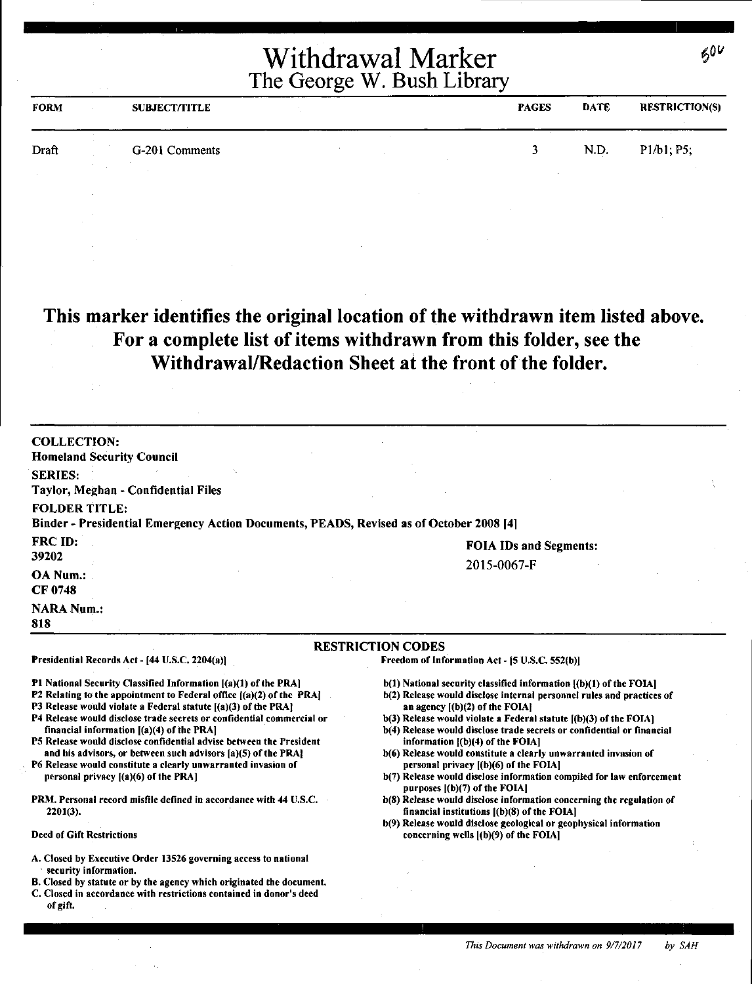| <b>FORM</b> | <b>SUBJECT/TITLE</b> | <b>PAGES</b> | <b>DATE</b> | <b>RESTRICTION(S)</b> |
|-------------|----------------------|--------------|-------------|-----------------------|
| Draft       | G-201 Comments       |              | N.D.        | P1/b1, P5;            |
|             |                      |              |             |                       |

# **This marker identifies the original location of the withdrawn item listed above. For a complete list of items withdrawn from this folder, see the Withdrawal/Redaction Sheet at the front of the folder.**

| <b>COLLECTION:</b><br><b>Homeland Security Council</b>                                                                                                                                                                                                                                                                                                                                                                                                                                                                                                                                                                                                                   |                                                                                                                                                                                                                                                                                                                                                                                                                                                                                                                                                                                                                                                                                                                                                                                                        |  |
|--------------------------------------------------------------------------------------------------------------------------------------------------------------------------------------------------------------------------------------------------------------------------------------------------------------------------------------------------------------------------------------------------------------------------------------------------------------------------------------------------------------------------------------------------------------------------------------------------------------------------------------------------------------------------|--------------------------------------------------------------------------------------------------------------------------------------------------------------------------------------------------------------------------------------------------------------------------------------------------------------------------------------------------------------------------------------------------------------------------------------------------------------------------------------------------------------------------------------------------------------------------------------------------------------------------------------------------------------------------------------------------------------------------------------------------------------------------------------------------------|--|
| <b>SERIES:</b>                                                                                                                                                                                                                                                                                                                                                                                                                                                                                                                                                                                                                                                           |                                                                                                                                                                                                                                                                                                                                                                                                                                                                                                                                                                                                                                                                                                                                                                                                        |  |
| Taylor, Meghan - Confidential Files                                                                                                                                                                                                                                                                                                                                                                                                                                                                                                                                                                                                                                      |                                                                                                                                                                                                                                                                                                                                                                                                                                                                                                                                                                                                                                                                                                                                                                                                        |  |
|                                                                                                                                                                                                                                                                                                                                                                                                                                                                                                                                                                                                                                                                          |                                                                                                                                                                                                                                                                                                                                                                                                                                                                                                                                                                                                                                                                                                                                                                                                        |  |
| <b>FOLDER TITLE:</b><br>Binder - Presidential Emergency Action Documents, PEADS, Revised as of October 2008 [4]                                                                                                                                                                                                                                                                                                                                                                                                                                                                                                                                                          |                                                                                                                                                                                                                                                                                                                                                                                                                                                                                                                                                                                                                                                                                                                                                                                                        |  |
| FRC ID:                                                                                                                                                                                                                                                                                                                                                                                                                                                                                                                                                                                                                                                                  | <b>FOIA IDs and Segments:</b>                                                                                                                                                                                                                                                                                                                                                                                                                                                                                                                                                                                                                                                                                                                                                                          |  |
| 39202                                                                                                                                                                                                                                                                                                                                                                                                                                                                                                                                                                                                                                                                    |                                                                                                                                                                                                                                                                                                                                                                                                                                                                                                                                                                                                                                                                                                                                                                                                        |  |
| OA Num.:                                                                                                                                                                                                                                                                                                                                                                                                                                                                                                                                                                                                                                                                 | 2015-0067-F                                                                                                                                                                                                                                                                                                                                                                                                                                                                                                                                                                                                                                                                                                                                                                                            |  |
| <b>CF 0748</b>                                                                                                                                                                                                                                                                                                                                                                                                                                                                                                                                                                                                                                                           |                                                                                                                                                                                                                                                                                                                                                                                                                                                                                                                                                                                                                                                                                                                                                                                                        |  |
| <b>NARA Num.:</b><br>818                                                                                                                                                                                                                                                                                                                                                                                                                                                                                                                                                                                                                                                 |                                                                                                                                                                                                                                                                                                                                                                                                                                                                                                                                                                                                                                                                                                                                                                                                        |  |
|                                                                                                                                                                                                                                                                                                                                                                                                                                                                                                                                                                                                                                                                          | <b>RESTRICTION CODES</b>                                                                                                                                                                                                                                                                                                                                                                                                                                                                                                                                                                                                                                                                                                                                                                               |  |
| Presidential Records Act - [44 U.S.C. 2204(a)]                                                                                                                                                                                                                                                                                                                                                                                                                                                                                                                                                                                                                           | Freedom of Information Act - [5 U.S.C. 552(b)]                                                                                                                                                                                                                                                                                                                                                                                                                                                                                                                                                                                                                                                                                                                                                         |  |
| P1 National Security Classified Information [(a)(1) of the PRA]<br>P2 Relating to the appointment to Federal office ((a)(2) of the PRA)<br>P3 Release would violate a Federal statute [(a)(3) of the PRA]<br>P4 Release would disclose trade secrets or confidential commercial or<br>financial information $[(a)(4)$ of the PRA]<br>P5 Release would disclose confidential advise between the President<br>and his advisors, or between such advisors [a](5) of the PRA]<br>P6 Release would constitute a clearly unwarranted invasion of<br>personal privacy $[(a)(6)$ of the PRA]<br>PRM. Personal record misfile defined in accordance with 44 U.S.C.<br>$2201(3)$ . | b(1) National security classified information [(b)(1) of the FOIA]<br>b(2) Release would disclose internal personnel rules and practices of<br>an agency $[(b)(2)$ of the FOIA $]$<br>$b(3)$ Release would violate a Federal statute $(6)(3)$ of the FOIA]<br>b(4) Release would disclose trade secrets or confidential or financial<br>information [(b)(4) of the FOIA]<br>b(6) Release would constitute a clearly unwarranted invasion of<br>personal privacy [(b)(6) of the FOIA]<br>b(7) Release would disclose information compiled for law enforcement<br>purposes $[(b)(7)$ of the FOIA]<br>b(8) Release would disclose information concerning the regulation of<br>financial institutions $($ (b $)(8)$ ) of the FOIA $]$<br>b(9) Release would disclose geological or geophysical information |  |
| <b>Deed of Gift Restrictions</b>                                                                                                                                                                                                                                                                                                                                                                                                                                                                                                                                                                                                                                         | concerning wells $ (b)(9)$ of the FOIA]                                                                                                                                                                                                                                                                                                                                                                                                                                                                                                                                                                                                                                                                                                                                                                |  |
| A. Closed by Executive Order 13526 governing access to national<br>security information.<br>B. Closed by statute or by the agency which originated the document.<br>C. Closed in accordance with restrictions contained in donor's deed<br>of gift.                                                                                                                                                                                                                                                                                                                                                                                                                      |                                                                                                                                                                                                                                                                                                                                                                                                                                                                                                                                                                                                                                                                                                                                                                                                        |  |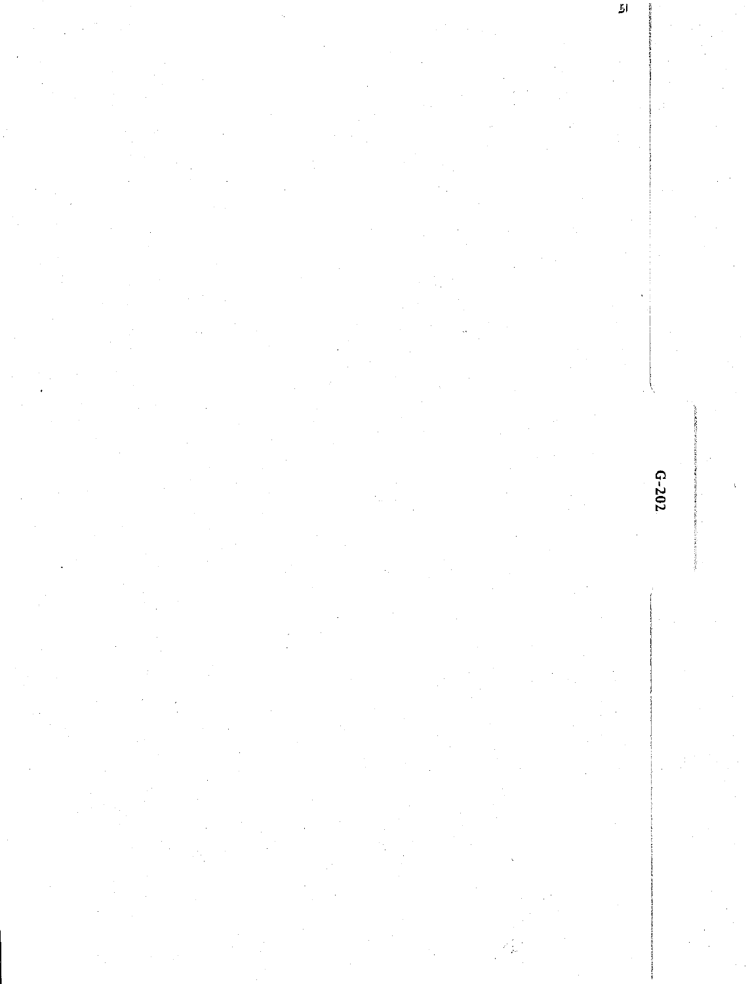$\mathfrak{z}_\mathsf{I}$  $G - 202$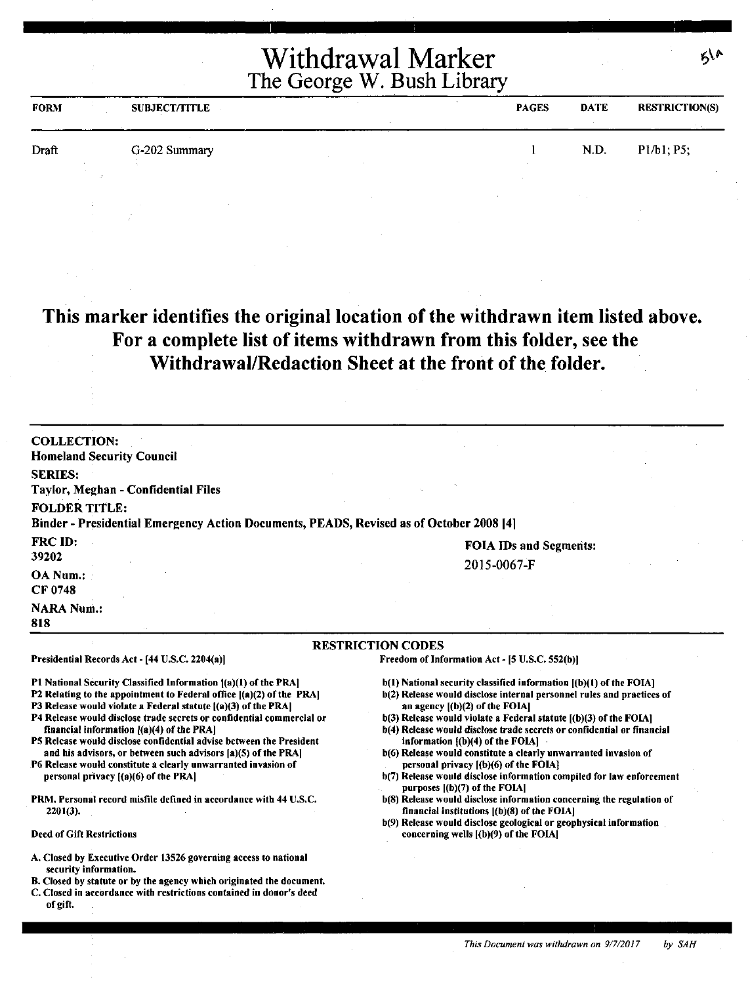| <b>FORM</b> | <b>SUBJECT/TITLE</b> | <b>PAGES</b> | <b>DATE</b> | <b>RESTRICTION(S)</b> |
|-------------|----------------------|--------------|-------------|-----------------------|
| Draft       | G-202 Summary        |              | N.D.        | P1/b1; P5;            |
|             |                      |              |             |                       |

# **This marker identifies the original location of the withdrawn item listed above. For a complete list of items withdrawn from this folder, see the Withdrawal/Redaction Sheet at the front of the folder.**

| <b>COLLECTION:</b><br><b>Homeland Security Council</b>                                                                                                                                                                                                                                                                                                                                                                                                                                                                                                                                                                                                                                                       |                                                                                                                                                                                                                                                                                                                                                                                                                                                                                                                                                                                                                                                                                                                                                                                                                                |
|--------------------------------------------------------------------------------------------------------------------------------------------------------------------------------------------------------------------------------------------------------------------------------------------------------------------------------------------------------------------------------------------------------------------------------------------------------------------------------------------------------------------------------------------------------------------------------------------------------------------------------------------------------------------------------------------------------------|--------------------------------------------------------------------------------------------------------------------------------------------------------------------------------------------------------------------------------------------------------------------------------------------------------------------------------------------------------------------------------------------------------------------------------------------------------------------------------------------------------------------------------------------------------------------------------------------------------------------------------------------------------------------------------------------------------------------------------------------------------------------------------------------------------------------------------|
| <b>SERIES:</b>                                                                                                                                                                                                                                                                                                                                                                                                                                                                                                                                                                                                                                                                                               |                                                                                                                                                                                                                                                                                                                                                                                                                                                                                                                                                                                                                                                                                                                                                                                                                                |
| Taylor, Meghan - Confidential Files                                                                                                                                                                                                                                                                                                                                                                                                                                                                                                                                                                                                                                                                          |                                                                                                                                                                                                                                                                                                                                                                                                                                                                                                                                                                                                                                                                                                                                                                                                                                |
| <b>FOLDER TITLE:</b><br>Binder - Presidential Emergency Action Documents, PEADS, Revised as of October 2008 [4]                                                                                                                                                                                                                                                                                                                                                                                                                                                                                                                                                                                              |                                                                                                                                                                                                                                                                                                                                                                                                                                                                                                                                                                                                                                                                                                                                                                                                                                |
| FRC ID:                                                                                                                                                                                                                                                                                                                                                                                                                                                                                                                                                                                                                                                                                                      |                                                                                                                                                                                                                                                                                                                                                                                                                                                                                                                                                                                                                                                                                                                                                                                                                                |
| 39202                                                                                                                                                                                                                                                                                                                                                                                                                                                                                                                                                                                                                                                                                                        | <b>FOIA IDs and Segments:</b>                                                                                                                                                                                                                                                                                                                                                                                                                                                                                                                                                                                                                                                                                                                                                                                                  |
|                                                                                                                                                                                                                                                                                                                                                                                                                                                                                                                                                                                                                                                                                                              | 2015-0067-F                                                                                                                                                                                                                                                                                                                                                                                                                                                                                                                                                                                                                                                                                                                                                                                                                    |
| OA Num.:<br><b>CF 0748</b>                                                                                                                                                                                                                                                                                                                                                                                                                                                                                                                                                                                                                                                                                   |                                                                                                                                                                                                                                                                                                                                                                                                                                                                                                                                                                                                                                                                                                                                                                                                                                |
| <b>NARA Num.:</b><br>818                                                                                                                                                                                                                                                                                                                                                                                                                                                                                                                                                                                                                                                                                     |                                                                                                                                                                                                                                                                                                                                                                                                                                                                                                                                                                                                                                                                                                                                                                                                                                |
|                                                                                                                                                                                                                                                                                                                                                                                                                                                                                                                                                                                                                                                                                                              | <b>RESTRICTION CODES</b>                                                                                                                                                                                                                                                                                                                                                                                                                                                                                                                                                                                                                                                                                                                                                                                                       |
| Presidential Records Act - [44 U.S.C. 2204(a)]                                                                                                                                                                                                                                                                                                                                                                                                                                                                                                                                                                                                                                                               | Freedom of Information Act - [5 U.S.C. 552(b)]                                                                                                                                                                                                                                                                                                                                                                                                                                                                                                                                                                                                                                                                                                                                                                                 |
| P1 National Security Classified Information ((a)(1) of the PRA]<br>P2 Relating to the appointment to Federal office [(a)(2) of the PRA]<br>P3 Release would violate a Federal statute [(a)(3) of the PRA]<br>P4 Release would disclose trade secrets or confidential commercial or<br>financial information $[(a)(4)$ of the PRA]<br>P5 Release would disclose confidential advise between the President<br>and his advisors, or between such advisors [a](5) of the PRA]<br>P6 Release would constitute a clearly unwarranted invasion of<br>personal privacy $[(a)(6)$ of the PRA]<br>PRM, Personal record misfile defined in accordance with 44 U.S.C.<br>$2201(3)$ .<br><b>Deed of Gift Restrictions</b> | b(1) National security classified information [(b)(1) of the FOIA]<br>b(2) Release would disclose internal personnel rules and practices of<br>an agency $[(b)(2)$ of the FOIA]<br>b(3) Release would violate a Federal statute [(b)(3) of the FOIA]<br>b(4) Release would disclose trade secrets or confidential or financial<br>information {(b)(4) of the FOIA]<br>b(6) Release would constitute a clearly unwarranted invasion of<br>personal privacy [(b)(6) of the FOIA]<br>b(7) Release would disclose information compiled for law enforcement<br>purposes [(b)(7) of the FOIA]<br>b(8) Release would disclose information concerning the regulation of<br>financial institutions $[(b)(8)$ of the FOIA]<br>b(9) Release would disclose geological or geophysical information<br>concerning wells [(b)(9) of the FOIA] |
| A. Closed by Executive Order 13526 governing access to national<br>security information.<br>B. Closed by statute or by the agency which originated the document.<br>C. Closed in accordance with restrictions contained in donor's deed<br>of gift.                                                                                                                                                                                                                                                                                                                                                                                                                                                          |                                                                                                                                                                                                                                                                                                                                                                                                                                                                                                                                                                                                                                                                                                                                                                                                                                |

 $5^{6}$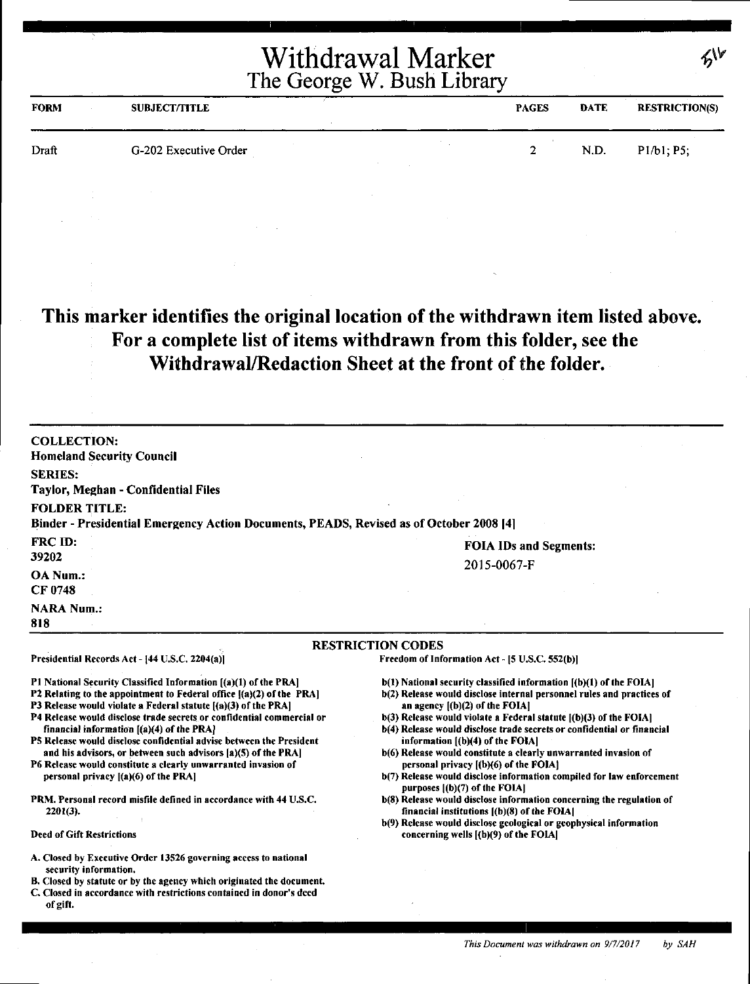| <b>FORM</b> | <b>SUBJECT/TITLE</b>  | <b>PAGES</b> | <b>DATE</b> | <b>RESTRICTION(S)</b> |
|-------------|-----------------------|--------------|-------------|-----------------------|
| Draft       | G-202 Executive Order | ◠            | N.D.        | PI/b1; P5;            |

# **This marker identifies the original location of the withdrawn item listed** above. **For a complete list of items withdrawn from this folder, see the Withdrawal/Redaction Sheet at the front of the folder.**

| <b>COLLECTION:</b><br><b>Homeland Security Council</b>                                                                                                                                                                                                                                                                                                                                                                                                                                                                                                                                                                                                                  |                                                                                                                                                                                                                                                                                                                                                                                                                                                                                                                                                                                                                                                                                                                                                                                                |
|-------------------------------------------------------------------------------------------------------------------------------------------------------------------------------------------------------------------------------------------------------------------------------------------------------------------------------------------------------------------------------------------------------------------------------------------------------------------------------------------------------------------------------------------------------------------------------------------------------------------------------------------------------------------------|------------------------------------------------------------------------------------------------------------------------------------------------------------------------------------------------------------------------------------------------------------------------------------------------------------------------------------------------------------------------------------------------------------------------------------------------------------------------------------------------------------------------------------------------------------------------------------------------------------------------------------------------------------------------------------------------------------------------------------------------------------------------------------------------|
| <b>SERIES:</b>                                                                                                                                                                                                                                                                                                                                                                                                                                                                                                                                                                                                                                                          |                                                                                                                                                                                                                                                                                                                                                                                                                                                                                                                                                                                                                                                                                                                                                                                                |
| Taylor, Meghan - Confidential Files                                                                                                                                                                                                                                                                                                                                                                                                                                                                                                                                                                                                                                     |                                                                                                                                                                                                                                                                                                                                                                                                                                                                                                                                                                                                                                                                                                                                                                                                |
| <b>FOLDER TITLE:</b>                                                                                                                                                                                                                                                                                                                                                                                                                                                                                                                                                                                                                                                    |                                                                                                                                                                                                                                                                                                                                                                                                                                                                                                                                                                                                                                                                                                                                                                                                |
| Binder - Presidential Emergency Action Documents, PEADS, Revised as of October 2008 [4]                                                                                                                                                                                                                                                                                                                                                                                                                                                                                                                                                                                 |                                                                                                                                                                                                                                                                                                                                                                                                                                                                                                                                                                                                                                                                                                                                                                                                |
| <b>FRC ID:</b>                                                                                                                                                                                                                                                                                                                                                                                                                                                                                                                                                                                                                                                          |                                                                                                                                                                                                                                                                                                                                                                                                                                                                                                                                                                                                                                                                                                                                                                                                |
| 39202                                                                                                                                                                                                                                                                                                                                                                                                                                                                                                                                                                                                                                                                   | <b>FOIA IDs and Segments:</b>                                                                                                                                                                                                                                                                                                                                                                                                                                                                                                                                                                                                                                                                                                                                                                  |
| <b>OA Num.:</b>                                                                                                                                                                                                                                                                                                                                                                                                                                                                                                                                                                                                                                                         | 2015-0067-F                                                                                                                                                                                                                                                                                                                                                                                                                                                                                                                                                                                                                                                                                                                                                                                    |
| <b>CF 0748</b>                                                                                                                                                                                                                                                                                                                                                                                                                                                                                                                                                                                                                                                          |                                                                                                                                                                                                                                                                                                                                                                                                                                                                                                                                                                                                                                                                                                                                                                                                |
| <b>NARA Num.:</b><br>818                                                                                                                                                                                                                                                                                                                                                                                                                                                                                                                                                                                                                                                |                                                                                                                                                                                                                                                                                                                                                                                                                                                                                                                                                                                                                                                                                                                                                                                                |
|                                                                                                                                                                                                                                                                                                                                                                                                                                                                                                                                                                                                                                                                         | <b>RESTRICTION CODES</b>                                                                                                                                                                                                                                                                                                                                                                                                                                                                                                                                                                                                                                                                                                                                                                       |
| Presidential Records Act - [44 U.S.C. 2204(a)]                                                                                                                                                                                                                                                                                                                                                                                                                                                                                                                                                                                                                          | Freedom of Information Act - [5 U.S.C. 552(b)]                                                                                                                                                                                                                                                                                                                                                                                                                                                                                                                                                                                                                                                                                                                                                 |
| P1 National Security Classified Information [(a)(1) of the PRA]<br>P2 Relating to the appointment to Federal office $(a)(2)$ of the PRA]<br>P3 Release would violate a Federal statute [(a)(3) of the PRA]<br>P4 Release would disclose trade secrets or confidential commercial or<br>financial information [(a)(4) of the PRA]<br>P5 Release would disclose confidential advise between the President<br>and his advisors, or between such advisors [a](5) of the PRA]<br>P6 Release would constitute a clearly unwarranted invasion of<br>personal privacy $[(a)(6)$ of the PRA]<br>PRM. Personal record misfile defined in accordance with 44 U.S.C.<br>$2201(3)$ . | $b(1)$ National security classified information $(a)(1)$ of the FOIA]<br>b(2) Release would disclose internal personnel rules and practices of<br>an agency $[(b)(2)$ of the FOIA]<br>b(3) Release would violate a Federal statute [(b)(3) of the FOIA]<br>b(4) Release would disclose trade secrets or confidential or financial<br>information $[(b)(4)$ of the FOIA]<br>b(6) Release would constitute a clearly unwarranted invasion of<br>personal privacy [(b)(6) of the FOIA]<br>b(7) Release would disclose information compiled for law enforcement<br>purposes $(a)$ (b)(7) of the FOIA]<br>b(8) Release would disclose information concerning the regulation of<br>financial institutions $(1)(8)$ of the FOIA.<br>b(9) Release would disclose geological or geophysical information |
| <b>Deed of Gift Restrictions</b>                                                                                                                                                                                                                                                                                                                                                                                                                                                                                                                                                                                                                                        | concerning wells [(b)(9) of the FOIA]                                                                                                                                                                                                                                                                                                                                                                                                                                                                                                                                                                                                                                                                                                                                                          |
| A. Closed by Executive Order 13526 governing access to national<br>security information.<br>B. Closed by statute or by the agency which originated the document.<br>C. Closed in accordance with restrictions contained in donor's deed<br>of gift.                                                                                                                                                                                                                                                                                                                                                                                                                     |                                                                                                                                                                                                                                                                                                                                                                                                                                                                                                                                                                                                                                                                                                                                                                                                |

分し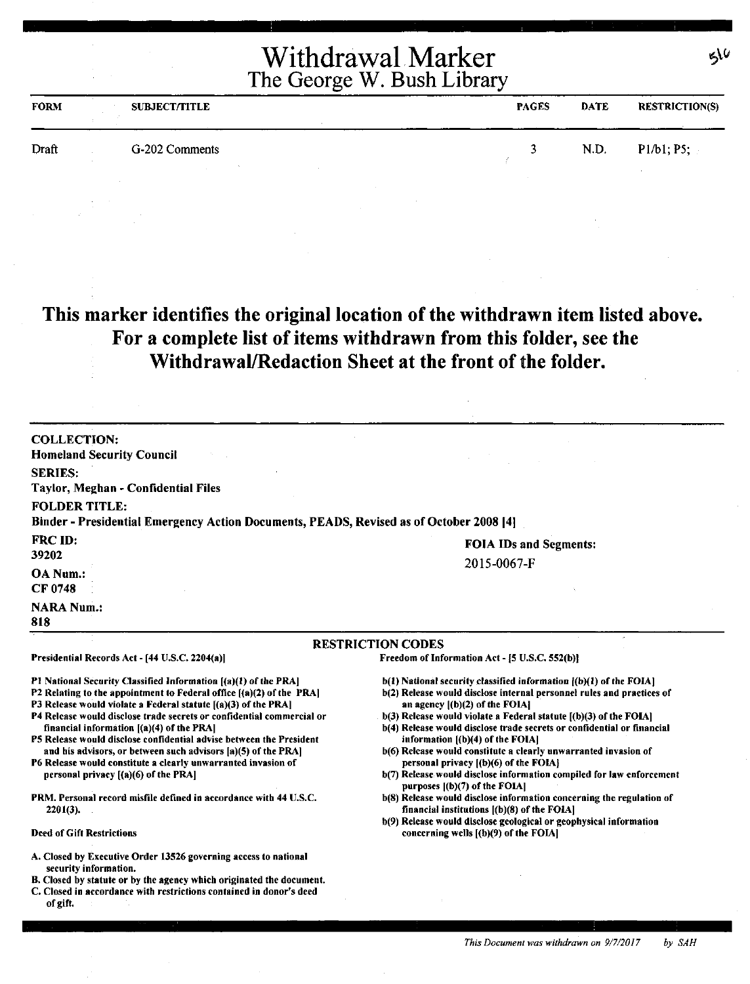| Withdrawal Marker<br>The George W. Bush Library |                      |              |             | K\U                   |  |
|-------------------------------------------------|----------------------|--------------|-------------|-----------------------|--|
| <b>FORM</b>                                     | <b>SUBJECT/TITLE</b> | <b>PAGES</b> | <b>DATE</b> | <b>RESTRICTION(S)</b> |  |
| Draft                                           | G-202 Comments       |              | N.D.        | P1/b1; P5;            |  |

### **This marker identifies the original location of the withdrawn item listed above. For a complete list of items withdrawn from this folder, see the Withdrawal/Redaction Sheet at the front of the folder.**

| <b>COLLECTION:</b>                                                                                                                      |                                                                                                                      |
|-----------------------------------------------------------------------------------------------------------------------------------------|----------------------------------------------------------------------------------------------------------------------|
| <b>Homeland Security Council</b>                                                                                                        |                                                                                                                      |
| <b>SERIES:</b>                                                                                                                          |                                                                                                                      |
| Taylor, Meghan - Confidential Files                                                                                                     |                                                                                                                      |
| <b>FOLDER TITLE:</b>                                                                                                                    |                                                                                                                      |
| Binder - Presidential Emergency Action Documents, PEADS, Revised as of October 2008 [4]                                                 |                                                                                                                      |
| <b>FRC ID:</b>                                                                                                                          | <b>FOIA IDs and Segments:</b>                                                                                        |
| 39202                                                                                                                                   | 2015-0067-F                                                                                                          |
| <b>OA Num.:</b>                                                                                                                         |                                                                                                                      |
| CF 0748                                                                                                                                 |                                                                                                                      |
| <b>NARA Num.:</b>                                                                                                                       |                                                                                                                      |
| 818                                                                                                                                     |                                                                                                                      |
|                                                                                                                                         | <b>RESTRICTION CODES</b>                                                                                             |
| Presidential Records Act - [44 U.S.C. 2204(a)]                                                                                          | Freedom of Information Act - [5 U.S.C. 552(b)]                                                                       |
| <b>P1 National Security Classified Information [(a)(1) of the PRA]</b>                                                                  | $b(1)$ National security classified information $f(b)(1)$ of the FOIA]                                               |
| P2 Relating to the appointment to Federal office ((a)(2) of the PRA)                                                                    | b(2) Release would disclose internal personnel rules and practices of                                                |
| P3 Release would violate a Federal statute [(a)(3) of the PRA]<br>P4 Release would disclose trade secrets or confidential commercial or | an agency $(1b)(2)$ of the FOIA]<br>b(3) Release would violate a Federal statute [(b)(3) of the FOIA]                |
| financial information $[(a)(4)$ of the PRA                                                                                              | b(4) Release would disclose trade secrets or confidential or financial                                               |
| P5 Release would disclose confidential advise between the President                                                                     | information [(b)(4) of the FOIA]                                                                                     |
| and his advisors, or between such advisors [a](5) of the PRA]<br>P6 Release would constitute a clearly unwarranted invasion of          | b(6) Release would constitute a clearly unwarranted invasion of<br>personal privacy ((b)(6) of the FOIA)             |
| personal privacy $[(a)(6)$ of the PRA]                                                                                                  | b(7) Release would disclose information compiled for law enforcement                                                 |
|                                                                                                                                         | purposes $[(b)(7)$ of the $FOLA]$                                                                                    |
| PRM. Personal record misfile defined in accordance with 44 U.S.C.<br>$2201(3)$ .                                                        | b(8) Release would disclose information concerning the regulation of<br>financial institutions $(6)(8)$ of the FOIA] |
|                                                                                                                                         | b(9) Release would disclose geological or geophysical information                                                    |
| <b>Deed of Gift Restrictions</b>                                                                                                        | concerning wells [(b)(9) of the FOIA]                                                                                |
| A. Closed by Executive Order 13526 governing access to national<br>security information.                                                |                                                                                                                      |
| B. Closed by statute or by the agency which originated the document.                                                                    |                                                                                                                      |

C. Closed in accordance with restrictions contained in donor's deed

of gift.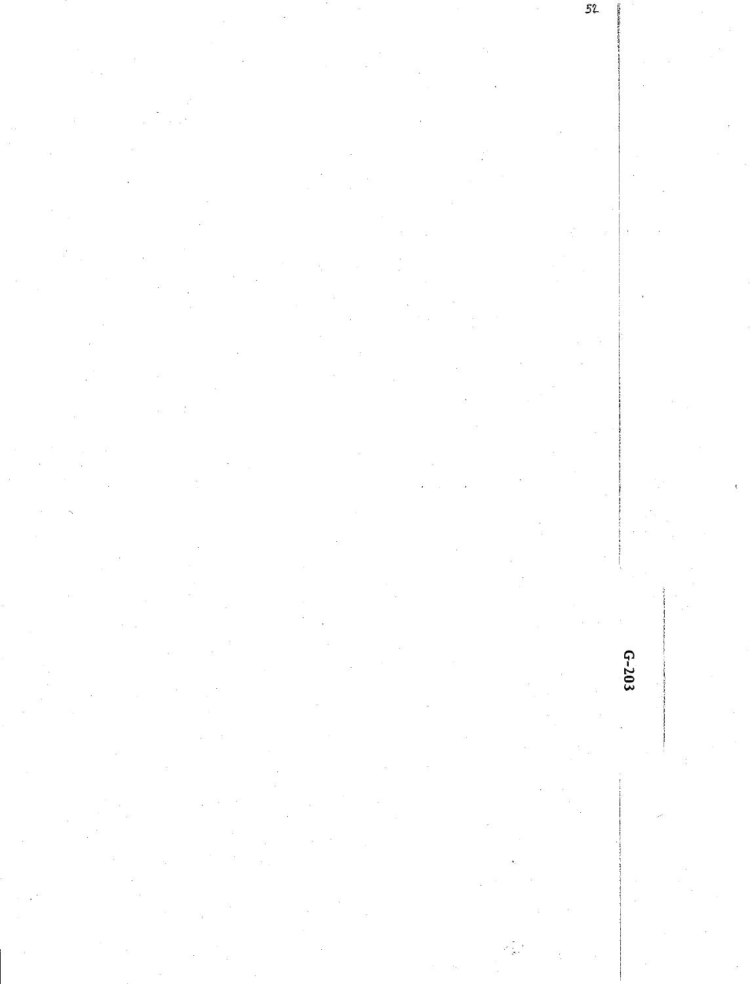$G-203$ 

 $\mathfrak{H}$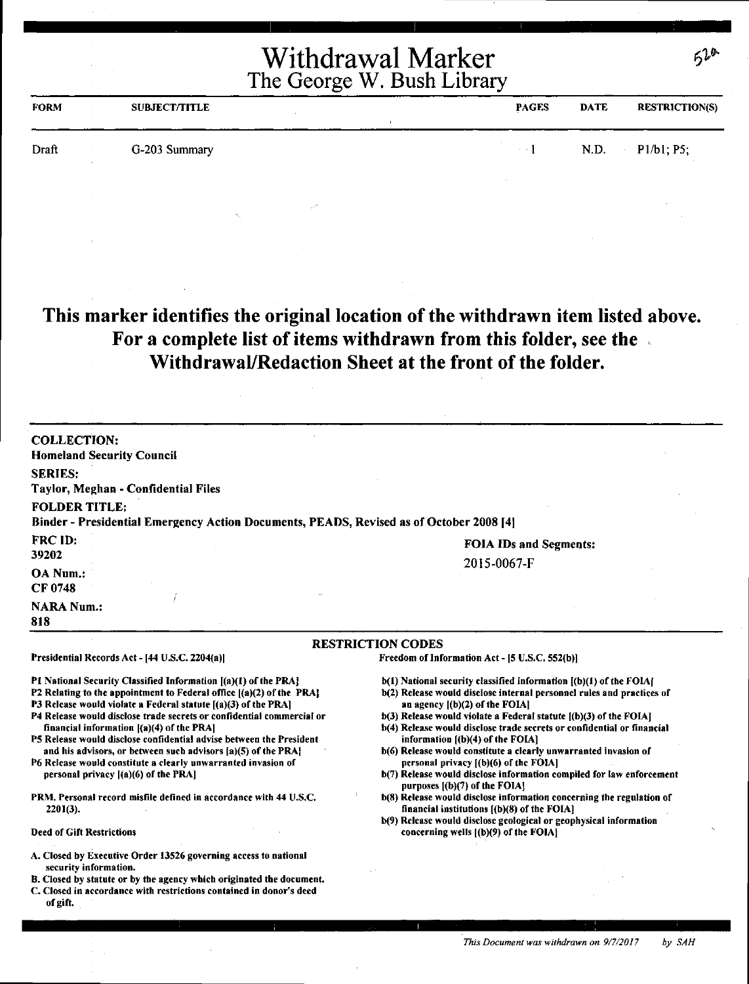| <b>FORM</b> | <b>SUBJECT/TITLE</b> | <b>PAGES</b> | <b>DATE</b> | <b>RESTRICTION(S)</b> |
|-------------|----------------------|--------------|-------------|-----------------------|
| Draft       | G-203 Summary        | . 1.         |             | N.D. $P1/b1; P5;$     |

#### **This marker identifies the original location of the withdrawn item listed above. For a complete list of items withdrawn from this folder, see the Withdrawal/Redaction Sheet at the front of the folder.**

| <b>COLLECTION:</b><br><b>Homeland Security Council</b>                                                                                                                                                                                                                                                                                                                                                                                                                                                                                                                                                                                                                                                     |                                                                                                                                                                                                                                                                                                                                                                                                                                                                                                                                                                                                                                                                                                                                                                                                                                             |
|------------------------------------------------------------------------------------------------------------------------------------------------------------------------------------------------------------------------------------------------------------------------------------------------------------------------------------------------------------------------------------------------------------------------------------------------------------------------------------------------------------------------------------------------------------------------------------------------------------------------------------------------------------------------------------------------------------|---------------------------------------------------------------------------------------------------------------------------------------------------------------------------------------------------------------------------------------------------------------------------------------------------------------------------------------------------------------------------------------------------------------------------------------------------------------------------------------------------------------------------------------------------------------------------------------------------------------------------------------------------------------------------------------------------------------------------------------------------------------------------------------------------------------------------------------------|
| <b>SERIES:</b>                                                                                                                                                                                                                                                                                                                                                                                                                                                                                                                                                                                                                                                                                             |                                                                                                                                                                                                                                                                                                                                                                                                                                                                                                                                                                                                                                                                                                                                                                                                                                             |
| Taylor, Meghan - Confidential Files                                                                                                                                                                                                                                                                                                                                                                                                                                                                                                                                                                                                                                                                        |                                                                                                                                                                                                                                                                                                                                                                                                                                                                                                                                                                                                                                                                                                                                                                                                                                             |
| <b>FOLDER TITLE:</b><br>Binder - Presidential Emergency Action Documents, PEADS, Revised as of October 2008 [4]                                                                                                                                                                                                                                                                                                                                                                                                                                                                                                                                                                                            |                                                                                                                                                                                                                                                                                                                                                                                                                                                                                                                                                                                                                                                                                                                                                                                                                                             |
| FRC ID:                                                                                                                                                                                                                                                                                                                                                                                                                                                                                                                                                                                                                                                                                                    | <b>FOIA IDs and Segments:</b>                                                                                                                                                                                                                                                                                                                                                                                                                                                                                                                                                                                                                                                                                                                                                                                                               |
| 39202                                                                                                                                                                                                                                                                                                                                                                                                                                                                                                                                                                                                                                                                                                      | 2015-0067-F                                                                                                                                                                                                                                                                                                                                                                                                                                                                                                                                                                                                                                                                                                                                                                                                                                 |
| OA Num.:<br>CF 0748                                                                                                                                                                                                                                                                                                                                                                                                                                                                                                                                                                                                                                                                                        |                                                                                                                                                                                                                                                                                                                                                                                                                                                                                                                                                                                                                                                                                                                                                                                                                                             |
| <b>NARA Num.:</b><br>818                                                                                                                                                                                                                                                                                                                                                                                                                                                                                                                                                                                                                                                                                   |                                                                                                                                                                                                                                                                                                                                                                                                                                                                                                                                                                                                                                                                                                                                                                                                                                             |
|                                                                                                                                                                                                                                                                                                                                                                                                                                                                                                                                                                                                                                                                                                            | <b>RESTRICTION CODES</b>                                                                                                                                                                                                                                                                                                                                                                                                                                                                                                                                                                                                                                                                                                                                                                                                                    |
| Presidential Records Act - [44 U.S.C. 2204(a)]                                                                                                                                                                                                                                                                                                                                                                                                                                                                                                                                                                                                                                                             | Freedom of Information Act - [5 U.S.C. 552(b)]                                                                                                                                                                                                                                                                                                                                                                                                                                                                                                                                                                                                                                                                                                                                                                                              |
| P1 National Security Classified Information [(a)(1) of the PRA]<br>P2 Relating to the appointment to Federal office [(a)(2) of the PRA]<br>P3 Release would violate a Federal statute [(a)(3) of the PRA]<br>P4 Release would disclose trade secrets or confidential commercial or<br>financial information ((a)(4) of the PRA]<br>P5 Release would disclose confidential advise between the President<br>and his advisors, or between such advisors [a)(5) of the PRA]<br>P6 Release would constitute a clearly unwarranted invasion of<br>personal privacy $[(a)(6)$ of the PRA]<br>PRM. Personal record misfile defined in accordance with 44 U.S.C.<br>$2201(3)$ .<br><b>Deed of Gift Restrictions</b> | $b(1)$ National security classified information $[(b)(1)$ of the FOIA]<br>b(2) Release would disclose internal personnel rules and practices of<br>an agency $[(b)(2)$ of the FOIA]<br>b(3) Release would violate a Federal statute [(b)(3) of the FOIA]<br>b(4) Release would disclose trade secrets or confidential or financial<br>information $[(b)(4)$ of the FOIA]<br>b(6) Release would constitute a clearly unwarranted invasion of<br>personal privacy [(b)(6) of the FOIA]<br>b(7) Release would disclose information compiled for law enforcement<br>purposes [(b)(7) of the FOIA]<br>b(8) Release would disclose information concerning the regulation of<br>financial institutions [(b)(8) of the FOIA]<br>b(9) Release would disclose geological or geophysical information<br>concerning wells $($ (b) $(9)$ of the FOIA $]$ |
| A. Closed by Executive Order 13526 governing access to national                                                                                                                                                                                                                                                                                                                                                                                                                                                                                                                                                                                                                                            |                                                                                                                                                                                                                                                                                                                                                                                                                                                                                                                                                                                                                                                                                                                                                                                                                                             |
| security information.                                                                                                                                                                                                                                                                                                                                                                                                                                                                                                                                                                                                                                                                                      |                                                                                                                                                                                                                                                                                                                                                                                                                                                                                                                                                                                                                                                                                                                                                                                                                                             |
| B. Closed by statute or by the agency which originated the document.<br>C. Closed in accordance with restrictions contained in donor's deed<br>of gift.                                                                                                                                                                                                                                                                                                                                                                                                                                                                                                                                                    |                                                                                                                                                                                                                                                                                                                                                                                                                                                                                                                                                                                                                                                                                                                                                                                                                                             |

 $52^{\circ}$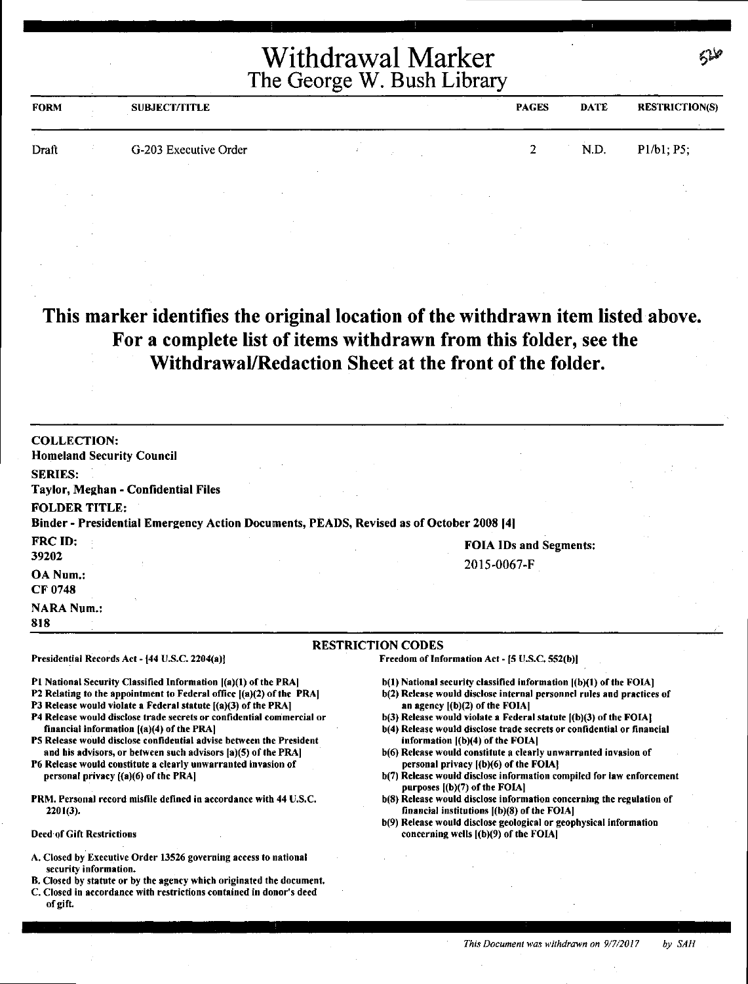| <b>FORM</b> | <b>SUBJECT/TITLE</b>  | <b>PAGES</b> | DATE | <b>RESTRICTION(S)</b> |
|-------------|-----------------------|--------------|------|-----------------------|
| Draft       | G-203 Executive Order | ∽            | N.D. | $P1/b1, P5$ ;         |

#### **This marker identifies the original location of the withdrawn item listed above. For a complete list of items withdrawn from this folder, see the Withdrawal/Redaction Sheet at the front of the folder.**

| <b>COLLECTION:</b><br><b>Homeland Security Council</b>                                                                                                                                                                                                                             |                                                                                                                                                                                                                                                         |
|------------------------------------------------------------------------------------------------------------------------------------------------------------------------------------------------------------------------------------------------------------------------------------|---------------------------------------------------------------------------------------------------------------------------------------------------------------------------------------------------------------------------------------------------------|
| <b>SERIES:</b><br>Taylor, Meghan - Confidential Files                                                                                                                                                                                                                              |                                                                                                                                                                                                                                                         |
| <b>FOLDER TITLE:</b><br>Binder - Presidential Emergency Action Documents, PEADS, Revised as of October 2008 [4]                                                                                                                                                                    |                                                                                                                                                                                                                                                         |
| <b>FRC ID:</b><br>39202                                                                                                                                                                                                                                                            | <b>FOIA IDs and Segments:</b><br>2015-0067-F                                                                                                                                                                                                            |
| OA Num.:<br>CF 0748                                                                                                                                                                                                                                                                |                                                                                                                                                                                                                                                         |
| <b>NARA Num.:</b><br>818                                                                                                                                                                                                                                                           |                                                                                                                                                                                                                                                         |
|                                                                                                                                                                                                                                                                                    | <b>RESTRICTION CODES</b>                                                                                                                                                                                                                                |
| Presidential Records Act - [44 U.S.C. 2204(a)]                                                                                                                                                                                                                                     | Freedom of Information Act - [5 U.S.C. 552(b)]                                                                                                                                                                                                          |
| P1 National Security Classified Information [(a)(1) of the PRA]<br>P2 Relating to the appointment to Federal office [(a)(2) of the PRA]<br>P3 Release would violate a Federal statute [(a)(3) of the PRA]<br>P4 Release would disclose trade secrets or confidential commercial or | $b(1)$ National security classified information $(a)(1)$ of the FOIA.<br>b(2) Release would disclose internal personnel rules and practices of<br>an agency $[(b)(2)$ of the FOIA]<br>b(3) Release would violate a Federal statute ((b)(3) of the FOIA] |
| financial information [(a)(4) of the PRA]<br>P5 Release would disclose confidential advise between the President<br>and his advisors, or between such advisors [a](5) of the PRA]                                                                                                  | b(4) Release would disclose trade secrets or confidential or financial<br>information $($ b $)(4)$ of the FOIA $]$<br>b(6) Release would constitute a clearly unwarranted invasion of                                                                   |
| P6 Release would constitute a clearly unwarranted invasion of<br>personal privacy $[(a)(6)$ of the PRA]                                                                                                                                                                            | personal privacy ((b)(6) of the FOIA!<br>b(7) Release would disclose information compiled for law enforcement<br>purposes $[(b)(7)$ of the FOIA]                                                                                                        |
| PRM. Personal record misfile defined in accordance with 44 U.S.C.<br>$2201(3)$ .                                                                                                                                                                                                   | b(8) Release would disclose information concerning the regulation of<br>financial institutions [(b)(8) of the FOIA]<br>b(9) Release would disclose geological or geophysical information                                                                |
| <b>Deed of Gift Restrictions</b>                                                                                                                                                                                                                                                   | concerning wells [(b)(9) of the FOIA]                                                                                                                                                                                                                   |

A. Closed by Executive Order 13S26 governing access to national

B. Closed by statute or by the agency which originated the document. C. Closed in accordance with restrictions contained in donor's deed

security information,

of gift.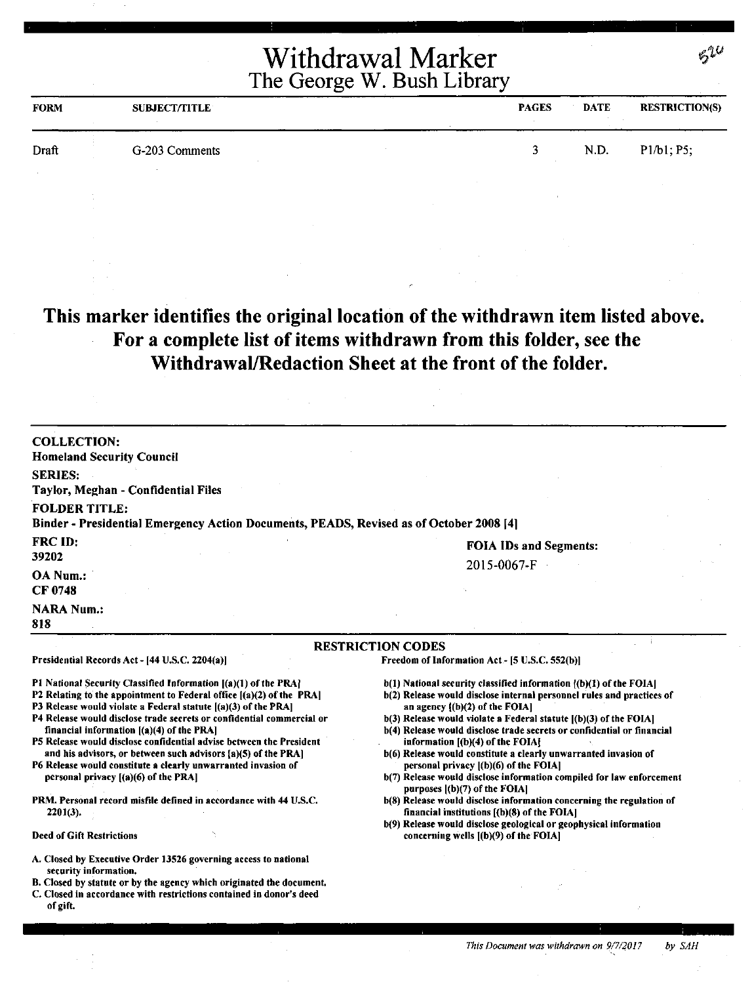$e^{\gamma}$ 

| <b>FORM</b> | <b>SUBJECT/TITLE</b> | <b>PAGES</b> | <b>DATE</b> | <b>RESTRICTION(S)</b> |
|-------------|----------------------|--------------|-------------|-----------------------|
| Draft       | G-203 Comments       |              | N.D.        | P1/b1; P5;            |
|             |                      |              |             |                       |

#### **This marker identifies the original location of the withdrawn item listed above. For a complete list of items withdrawn from this folder, see the Withdrawal/Redaction Sheet at the front of the folder.**

| <b>COLLECTION:</b><br><b>Homeland Security Council</b>                                                                                                                                                                                                                                                                                                                                                                                                                                                                                                                                                                                                                                                       |                                                                                                                                                                                                                                                                                                                                                                                                                                                                                                                                                                                                                                                                                                                                                                                                                                     |
|--------------------------------------------------------------------------------------------------------------------------------------------------------------------------------------------------------------------------------------------------------------------------------------------------------------------------------------------------------------------------------------------------------------------------------------------------------------------------------------------------------------------------------------------------------------------------------------------------------------------------------------------------------------------------------------------------------------|-------------------------------------------------------------------------------------------------------------------------------------------------------------------------------------------------------------------------------------------------------------------------------------------------------------------------------------------------------------------------------------------------------------------------------------------------------------------------------------------------------------------------------------------------------------------------------------------------------------------------------------------------------------------------------------------------------------------------------------------------------------------------------------------------------------------------------------|
| <b>SERIES:</b><br>Taylor, Meghan - Confidential Files<br><b>FOLDER TITLE:</b><br>Binder - Presidential Emergency Action Documents, PEADS, Revised as of October 2008 [4]<br><b>FRC ID:</b><br>39202<br>OA Num.:                                                                                                                                                                                                                                                                                                                                                                                                                                                                                              | <b>FOIA IDs and Segments:</b><br>2015-0067-F                                                                                                                                                                                                                                                                                                                                                                                                                                                                                                                                                                                                                                                                                                                                                                                        |
| CF 0748                                                                                                                                                                                                                                                                                                                                                                                                                                                                                                                                                                                                                                                                                                      |                                                                                                                                                                                                                                                                                                                                                                                                                                                                                                                                                                                                                                                                                                                                                                                                                                     |
| <b>NARA Num.:</b><br>818                                                                                                                                                                                                                                                                                                                                                                                                                                                                                                                                                                                                                                                                                     |                                                                                                                                                                                                                                                                                                                                                                                                                                                                                                                                                                                                                                                                                                                                                                                                                                     |
|                                                                                                                                                                                                                                                                                                                                                                                                                                                                                                                                                                                                                                                                                                              | <b>RESTRICTION CODES</b>                                                                                                                                                                                                                                                                                                                                                                                                                                                                                                                                                                                                                                                                                                                                                                                                            |
| Presidential Records Act - [44 U.S.C. 2204(a)]                                                                                                                                                                                                                                                                                                                                                                                                                                                                                                                                                                                                                                                               | Freedom of Information Act - [5 U.S.C. 552(b)]                                                                                                                                                                                                                                                                                                                                                                                                                                                                                                                                                                                                                                                                                                                                                                                      |
| P1 National Security Classified Information [(a)(1) of the PRA]<br>P2 Relating to the appointment to Federal office $[(a)(2)$ of the PRA]<br>P3 Release would violate a Federal statute [(a)(3) of the PRA]<br>P4 Release would disclose trade secrets or confidential commercial or<br>financial information $[(a)(4)$ of the PRA]<br>P5 Release would disclose confidential advise between the President<br>and his advisors, or between such advisors [a)(5) of the PRA]<br>P6 Release would constitute a clearly unwarranted invasion of<br>personal privacy [(a)(6) of the PRA]<br>PRM. Personal record misfile defined in accordance with 44 U.S.C.<br>$2201(3)$ .<br><b>Deed of Gift Restrictions</b> | b(1) National security classified information {(b)(1) of the FOIA]<br>b(2) Release would disclose internal personnel rules and practices of<br>an agency $\{(b)(2)$ of the FOIA]<br>b(3) Release would violate a Federal statute [(b)(3) of the FOIA]<br>b(4) Release would disclose trade secrets or confidential or financial<br>information [(b)(4) of the FOIA]<br>b(6) Release would constitute a clearly unwarranted invasion of<br>personal privacy ((b)(6) of the FOIA]<br>b(7) Release would disclose information compiled for law enforcement<br>purposes $  (b)(7)$ of the FOIA]<br>b(8) Release would disclose information concerning the regulation of<br>financial institutions $(1)(8)$ of the FOIA]<br>b(9) Release would disclose geological or geophysical information<br>concerning wells $I(b)(9)$ of the FOIA] |
| A. Closed by Executive Order 13526 governing access to national<br>security information.<br>B. Closed by statute or by the agency which originated the document.<br>C. Closed in accordance with restrictions contained in donor's deed<br>of gift.                                                                                                                                                                                                                                                                                                                                                                                                                                                          |                                                                                                                                                                                                                                                                                                                                                                                                                                                                                                                                                                                                                                                                                                                                                                                                                                     |
|                                                                                                                                                                                                                                                                                                                                                                                                                                                                                                                                                                                                                                                                                                              |                                                                                                                                                                                                                                                                                                                                                                                                                                                                                                                                                                                                                                                                                                                                                                                                                                     |
|                                                                                                                                                                                                                                                                                                                                                                                                                                                                                                                                                                                                                                                                                                              | This Document was withdrawn on 9/7/2017<br>by SAH                                                                                                                                                                                                                                                                                                                                                                                                                                                                                                                                                                                                                                                                                                                                                                                   |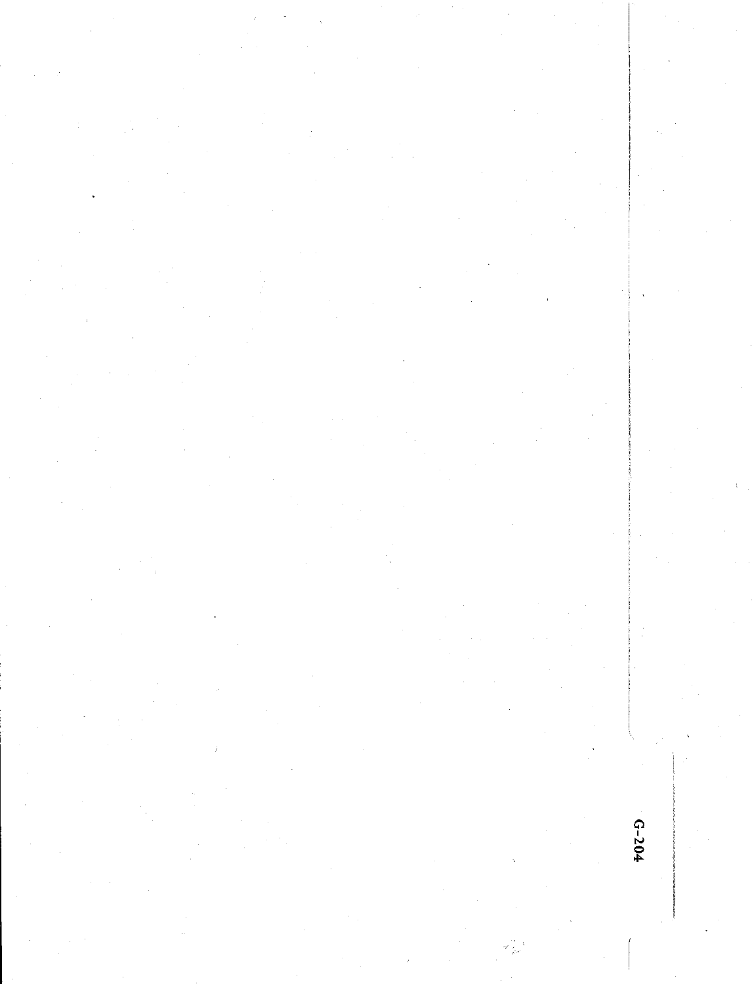$G-204$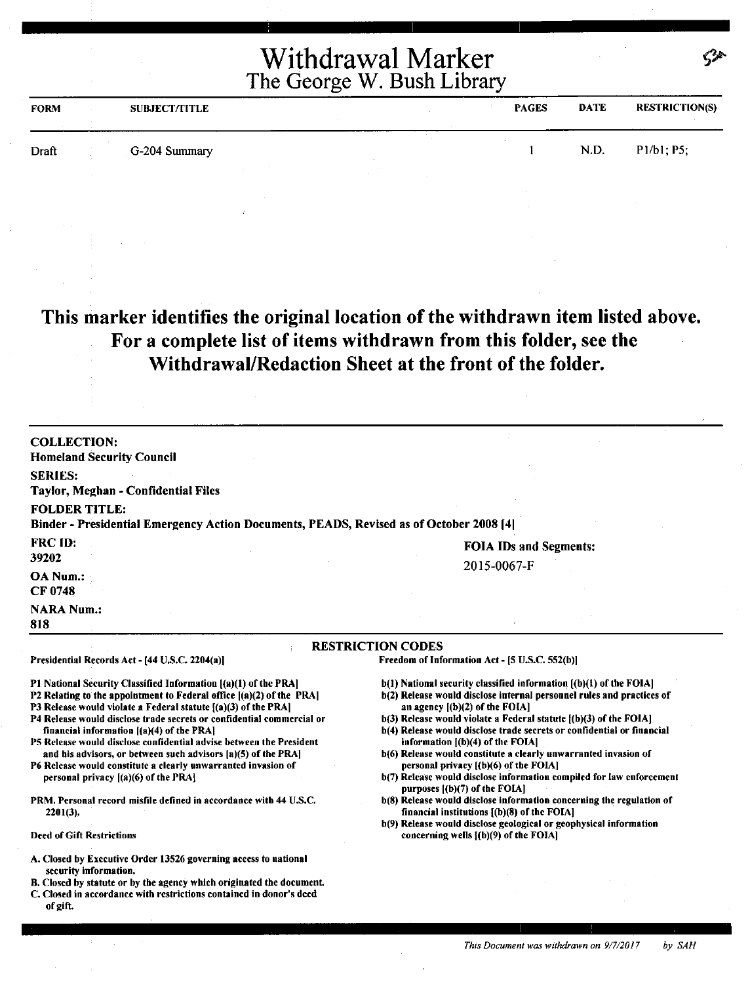| <b>FORM</b>  | <b>SUBJECT/TITLE</b> |  | <b>PAGES</b> | <b>DATE</b> | <b>RESTRICTION(S)</b> |
|--------------|----------------------|--|--------------|-------------|-----------------------|
| <b>Draft</b> | G-204 Summary        |  |              | N.D.        | P1/b1; P5;            |
|              |                      |  |              |             |                       |

# **This marker identifies the original location of the withdrawn item listed above. For a complete list of items withdrawn from this folder, see the Withdrawal/Redaction Sheet at the front of the folder.**

| <b>COLLECTION:</b><br><b>Homeland Security Council</b>                                                                                                                                                                                                                                                                                                                                                                                                                                                                                                                                                                                                                   |                                                                                                                                                                                                                                                                                                                                                                                                                                                                                                                                                                                                                                                                                                                                                                                                         |
|--------------------------------------------------------------------------------------------------------------------------------------------------------------------------------------------------------------------------------------------------------------------------------------------------------------------------------------------------------------------------------------------------------------------------------------------------------------------------------------------------------------------------------------------------------------------------------------------------------------------------------------------------------------------------|---------------------------------------------------------------------------------------------------------------------------------------------------------------------------------------------------------------------------------------------------------------------------------------------------------------------------------------------------------------------------------------------------------------------------------------------------------------------------------------------------------------------------------------------------------------------------------------------------------------------------------------------------------------------------------------------------------------------------------------------------------------------------------------------------------|
| <b>SERIES:</b><br>Taylor, Meghan - Confidential Files                                                                                                                                                                                                                                                                                                                                                                                                                                                                                                                                                                                                                    |                                                                                                                                                                                                                                                                                                                                                                                                                                                                                                                                                                                                                                                                                                                                                                                                         |
| <b>FOLDER TITLE:</b><br>Binder - Presidential Emergency Action Documents, PEADS, Revised as of October 2008 [4]                                                                                                                                                                                                                                                                                                                                                                                                                                                                                                                                                          |                                                                                                                                                                                                                                                                                                                                                                                                                                                                                                                                                                                                                                                                                                                                                                                                         |
| FRC ID:<br>39202                                                                                                                                                                                                                                                                                                                                                                                                                                                                                                                                                                                                                                                         | <b>FOIA IDs and Segments:</b><br>2015-0067-F                                                                                                                                                                                                                                                                                                                                                                                                                                                                                                                                                                                                                                                                                                                                                            |
| OA Num.:<br>CF 0748                                                                                                                                                                                                                                                                                                                                                                                                                                                                                                                                                                                                                                                      |                                                                                                                                                                                                                                                                                                                                                                                                                                                                                                                                                                                                                                                                                                                                                                                                         |
| <b>NARA Num.:</b><br>818                                                                                                                                                                                                                                                                                                                                                                                                                                                                                                                                                                                                                                                 |                                                                                                                                                                                                                                                                                                                                                                                                                                                                                                                                                                                                                                                                                                                                                                                                         |
|                                                                                                                                                                                                                                                                                                                                                                                                                                                                                                                                                                                                                                                                          | <b>RESTRICTION CODES</b>                                                                                                                                                                                                                                                                                                                                                                                                                                                                                                                                                                                                                                                                                                                                                                                |
| Presidential Records Act - [44 U.S.C. 2204(a)]                                                                                                                                                                                                                                                                                                                                                                                                                                                                                                                                                                                                                           | Freedom of Information Act - [5 U.S.C. 552(b)]                                                                                                                                                                                                                                                                                                                                                                                                                                                                                                                                                                                                                                                                                                                                                          |
| P1 National Security Classified Information [(a)(1) of the PRA]<br>P2 Relating to the appointment to Federal office [(a)(2) of the PRA]<br>P3 Release would violate a Federal statute [(a)(3) of the PRA]<br>P4 Release would disclose trade secrets or confidential commercial or<br>financial information $( (a)(4)$ of the PRA]<br>P5 Release would disclose confidential advise between the President<br>and his advisors, or between such advisors [a](5) of the PRA]<br>P6 Release would constitute a clearly unwarranted invasion of<br>personal privacy $[(a)(6)$ of the PRA<br>PRM. Personal record misfile defined in accordance with 44 U.S.C.<br>$2201(3)$ . | $b(1)$ National security classified information $(a)(1)$ of the FOIA]<br>b(2) Release would disclose internal personnel rules and practices of<br>an agency [(b)(2) of the FOIA]<br>$b(3)$ Release would violate a Federal statute $[(b)(3)$ of the FOIA]<br>b(4) Release would disclose trade secrets or confidential or financial<br>information $[(b)(4)$ of the FOIA]<br>b(6) Release would constitute a clearly unwarranted invasion of<br>personal privacy [(b)(6) of the FOIA]<br>b(7) Release would disclose information compiled for law enforcement<br>purposes $($ (b $)(7)$ ) of the FOIA $]$<br>b(8) Release would disclose information concerning the regulation of<br>financial institutions $[(b)(8)$ of the FOIA]<br>b(9) Release would disclose geological or geophysical information |
| <b>Deed of Gift Restrictions</b>                                                                                                                                                                                                                                                                                                                                                                                                                                                                                                                                                                                                                                         | concerning wells {(b)(9) of the FOIA]                                                                                                                                                                                                                                                                                                                                                                                                                                                                                                                                                                                                                                                                                                                                                                   |
| A. Closed by Executive Order 13526 governing access to national<br>security information.<br>B. Closed by statute or by the agency which originated the document.<br>C. Closed in accordance with restrictions contained in donor's deed<br>of gift.                                                                                                                                                                                                                                                                                                                                                                                                                      |                                                                                                                                                                                                                                                                                                                                                                                                                                                                                                                                                                                                                                                                                                                                                                                                         |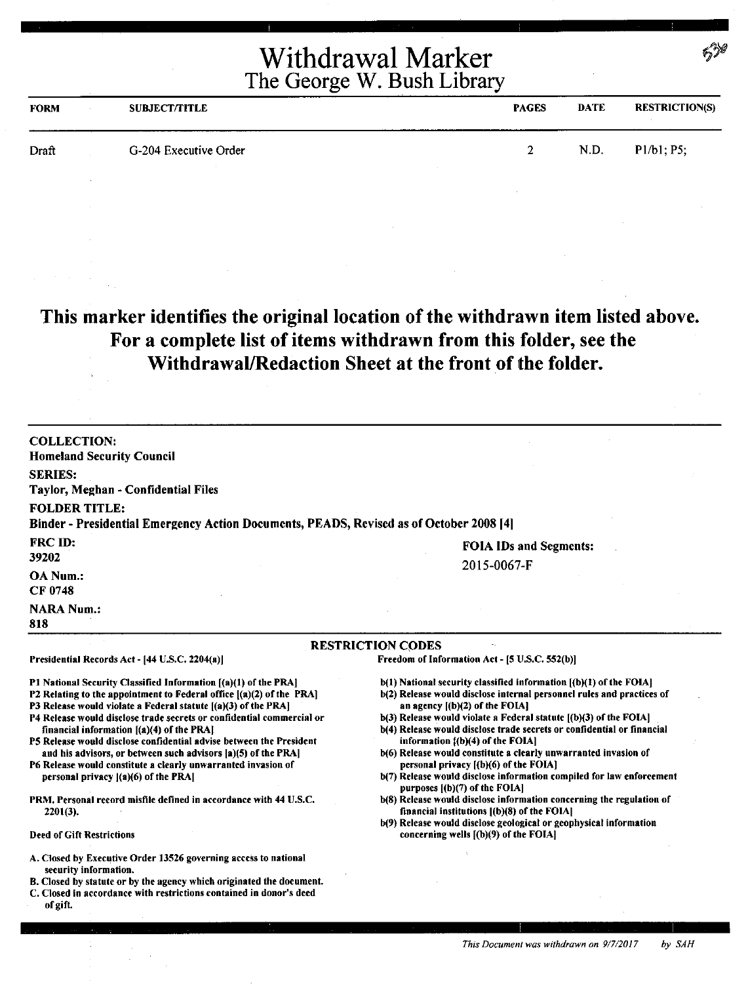| <b>FORM</b> | <b>SUBJECT/TITLE</b>  | <b>PAGES</b> | <b>DATE</b> | <b>RESTRICTION(S)</b> |
|-------------|-----------------------|--------------|-------------|-----------------------|
| Draft       | G-204 Executive Order | $\gamma$     | N.D.        | P1/b1; P5;            |

# **This marker identifies the original location of the withdrawn item listed above. For a complete list of items withdrawn from this folder, see the Withdrawal/Redaction Sheet at the front of** the **folder.**

| <b>COLLECTION:</b>                                                                                                                      |                                                                                                                       |
|-----------------------------------------------------------------------------------------------------------------------------------------|-----------------------------------------------------------------------------------------------------------------------|
| <b>Homeland Security Council</b>                                                                                                        |                                                                                                                       |
| <b>SERIES:</b>                                                                                                                          |                                                                                                                       |
| Taylor, Meghan - Confidential Files                                                                                                     |                                                                                                                       |
| <b>FOLDER TITLE:</b>                                                                                                                    |                                                                                                                       |
| Binder - Presidential Emergency Action Documents, PEADS, Revised as of October 2008 [4]                                                 |                                                                                                                       |
|                                                                                                                                         |                                                                                                                       |
| FRC ID:                                                                                                                                 | <b>FOIA IDs and Segments:</b>                                                                                         |
| 39202                                                                                                                                   | 2015-0067-F                                                                                                           |
| <b>OA Num.:</b>                                                                                                                         |                                                                                                                       |
| <b>CF 0748</b>                                                                                                                          |                                                                                                                       |
| <b>NARA Num.:</b>                                                                                                                       |                                                                                                                       |
| 818                                                                                                                                     |                                                                                                                       |
|                                                                                                                                         |                                                                                                                       |
| Presidential Records Act - [44 U.S.C. 2204(a)]                                                                                          | <b>RESTRICTION CODES</b><br>Freedom of Information Act - [5 U.S.C. 552(b)]                                            |
|                                                                                                                                         |                                                                                                                       |
| P1 National Security Classified Information [(a)(1) of the PRA]                                                                         | $b(1)$ National security classified information $[(b)(1)$ of the FOIA]                                                |
| P2 Relating to the appointment to Federal office $ (a)(2)$ of the PRA                                                                   | b(2) Release would disclose internal personnel rules and practices of                                                 |
| P3 Release would violate a Federal statute [(a)(3) of the PRA]<br>P4 Release would disclose trade secrets or confidential commercial or | an agency $[(b)(2)$ of the FOIA]<br>$b(3)$ Release would violate a Federal statute $(6)(3)$ of the FOIA]              |
| financial information $[(a)(4)$ of the PRA]                                                                                             | b(4) Release would disclose trade secrets or confidential or financial                                                |
| P5 Release would disclose confidential advise between the President                                                                     | information {(b)(4) of the FOIA]                                                                                      |
| and his advisors, or between such advisors [a](5) of the PRA]                                                                           | b(6) Release would constitute a clearly unwarranted invasion of                                                       |
| P6 Release would constitute a clearly unwarranted invasion of                                                                           | personal privacy [(b)(6) of the FOIA]                                                                                 |
| personal privacy $ (a)(6)$ of the PRA                                                                                                   | b(7) Release would disclose information compiled for law enforcement<br>purposes [(b)(7) of the FOIA]                 |
| PRM. Personal record misfile defined in accordance with 44 U.S.C.<br>$2201(3)$ .                                                        | b(8) Release would disclose information concerning the regulation of<br>financial institutions $[(b)(8)$ of the FOIA] |
|                                                                                                                                         | b(9) Release would disclose geological or geophysical information                                                     |
| <b>Deed of Gift Restrictions</b>                                                                                                        | concerning wells [(b)(9) of the FOIA]                                                                                 |
| A. Closed by Executive Order 13526 governing access to national                                                                         |                                                                                                                       |
| security information.                                                                                                                   |                                                                                                                       |
| B. Closed by statute or by the agency which originated the document.                                                                    |                                                                                                                       |
| C. Closed in accordance with restrictions contained in donor's deed<br>of gift.                                                         |                                                                                                                       |

*This Document was withdrawn on 9/712017 by SAH*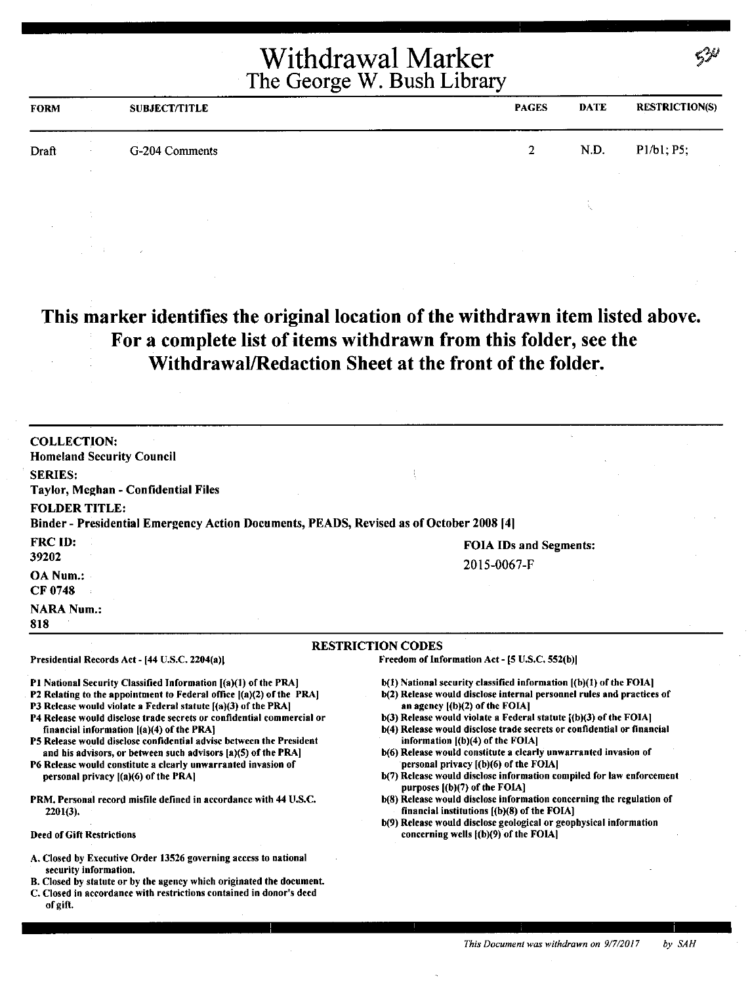| <b>FORM</b> | <b>SUBJECT/TITLE</b> | <b>PAGES</b> | <b>DATE</b> | <b>RESTRICTION(S)</b> |
|-------------|----------------------|--------------|-------------|-----------------------|
| Draft       | G-204 Comments       | $\mathbf{2}$ | N.D.        | P1/b1; P5;            |
|             |                      |              |             |                       |

# **This marker identifies the original location of the withdrawn item listed above. For a complete list of items withdrawn from this folder, see the Withdrawal/Redaction Sheet at the front of the folder.**

| <b>COLLECTION:</b>                                                                                                                                                                                                                                                                                                                                                                                                                                                                                                                                                                                                                                                                                                                                                                    |                                                                                                                                                                                                                                                                                                                                                                                                                                                                                                                                                                                                                                                                                                                                                                                                                                      |
|---------------------------------------------------------------------------------------------------------------------------------------------------------------------------------------------------------------------------------------------------------------------------------------------------------------------------------------------------------------------------------------------------------------------------------------------------------------------------------------------------------------------------------------------------------------------------------------------------------------------------------------------------------------------------------------------------------------------------------------------------------------------------------------|--------------------------------------------------------------------------------------------------------------------------------------------------------------------------------------------------------------------------------------------------------------------------------------------------------------------------------------------------------------------------------------------------------------------------------------------------------------------------------------------------------------------------------------------------------------------------------------------------------------------------------------------------------------------------------------------------------------------------------------------------------------------------------------------------------------------------------------|
| <b>Homeland Security Council</b>                                                                                                                                                                                                                                                                                                                                                                                                                                                                                                                                                                                                                                                                                                                                                      |                                                                                                                                                                                                                                                                                                                                                                                                                                                                                                                                                                                                                                                                                                                                                                                                                                      |
| <b>SERIES:</b>                                                                                                                                                                                                                                                                                                                                                                                                                                                                                                                                                                                                                                                                                                                                                                        |                                                                                                                                                                                                                                                                                                                                                                                                                                                                                                                                                                                                                                                                                                                                                                                                                                      |
| Taylor, Meghan - Confidential Files                                                                                                                                                                                                                                                                                                                                                                                                                                                                                                                                                                                                                                                                                                                                                   |                                                                                                                                                                                                                                                                                                                                                                                                                                                                                                                                                                                                                                                                                                                                                                                                                                      |
| <b>FOLDER TITLE:</b>                                                                                                                                                                                                                                                                                                                                                                                                                                                                                                                                                                                                                                                                                                                                                                  |                                                                                                                                                                                                                                                                                                                                                                                                                                                                                                                                                                                                                                                                                                                                                                                                                                      |
| Binder - Presidential Emergency Action Documents, PEADS, Revised as of October 2008 [4]                                                                                                                                                                                                                                                                                                                                                                                                                                                                                                                                                                                                                                                                                               |                                                                                                                                                                                                                                                                                                                                                                                                                                                                                                                                                                                                                                                                                                                                                                                                                                      |
| <b>FRC ID:</b>                                                                                                                                                                                                                                                                                                                                                                                                                                                                                                                                                                                                                                                                                                                                                                        | <b>FOIA IDs and Segments:</b>                                                                                                                                                                                                                                                                                                                                                                                                                                                                                                                                                                                                                                                                                                                                                                                                        |
| 39202                                                                                                                                                                                                                                                                                                                                                                                                                                                                                                                                                                                                                                                                                                                                                                                 |                                                                                                                                                                                                                                                                                                                                                                                                                                                                                                                                                                                                                                                                                                                                                                                                                                      |
| <b>OA Num.:</b>                                                                                                                                                                                                                                                                                                                                                                                                                                                                                                                                                                                                                                                                                                                                                                       | 2015-0067-F                                                                                                                                                                                                                                                                                                                                                                                                                                                                                                                                                                                                                                                                                                                                                                                                                          |
| CF 0748                                                                                                                                                                                                                                                                                                                                                                                                                                                                                                                                                                                                                                                                                                                                                                               |                                                                                                                                                                                                                                                                                                                                                                                                                                                                                                                                                                                                                                                                                                                                                                                                                                      |
| <b>NARA Num.:</b>                                                                                                                                                                                                                                                                                                                                                                                                                                                                                                                                                                                                                                                                                                                                                                     |                                                                                                                                                                                                                                                                                                                                                                                                                                                                                                                                                                                                                                                                                                                                                                                                                                      |
| 818                                                                                                                                                                                                                                                                                                                                                                                                                                                                                                                                                                                                                                                                                                                                                                                   |                                                                                                                                                                                                                                                                                                                                                                                                                                                                                                                                                                                                                                                                                                                                                                                                                                      |
|                                                                                                                                                                                                                                                                                                                                                                                                                                                                                                                                                                                                                                                                                                                                                                                       | <b>RESTRICTION CODES</b>                                                                                                                                                                                                                                                                                                                                                                                                                                                                                                                                                                                                                                                                                                                                                                                                             |
| Presidential Records Act - [44 U.S.C. 2204(a)]                                                                                                                                                                                                                                                                                                                                                                                                                                                                                                                                                                                                                                                                                                                                        | Freedom of Information Act - [5 U.S.C. 552(b)]                                                                                                                                                                                                                                                                                                                                                                                                                                                                                                                                                                                                                                                                                                                                                                                       |
| P1 National Security Classified Information [(a)(1) of the PRA]<br>P2 Relating to the appointment to Federal office $[(a)(2)$ of the PRA]<br>P3 Release would violate a Federal statute [(a)(3) of the PRA]<br>P4 Release would disclose trade secrets or confidential commercial or<br>financial information [(a)(4) of the PRA]<br>P5 Release would disclose confidential advise between the President<br>and his advisors, or between such advisors [a)(5) of the PRA]<br>P6 Release would constitute a clearly unwarranted invasion of<br>personal privacy $[(a)(6)$ of the PRA<br><b>PRM.</b> Personal record misfile defined in accordance with 44 U.S.C.<br>$2201(3)$ .<br><b>Deed of Gift Restrictions</b><br>A. Closed by Executive Order 13526 governing access to national | $b(1)$ National security classified information $(a)(1)$ of the FOIA]<br>b(2) Release would disclose internal personnel rules and practices of<br>an agency $[(b)(2)$ of the FOIA]<br>b(3) Release would violate a Federal statute [(b)(3) of the FOIA]<br>b(4) Release would disclose trade secrets or confidential or financial<br>information $[(b)(4)$ of the FOIA]<br>b(6) Release would constitute a clearly unwarranted invasion of<br>personal privacy ((b)(6) of the FOIA]<br>b(7) Release would disclose information compiled for law enforcement<br>purposes $[(b)(7)$ of the FOIA]<br>b(8) Release would disclose information concerning the regulation of<br>financial institutions $(6)(8)$ of the FOIA]<br>b(9) Release would disclose geological or geophysical information<br>concerning wells [(b)(9) of the FOIA] |
| security information.<br>B. Closed by statute or by the agency which originated the document.<br>C. Closed in accordance with restrictions contained in donor's deed<br>of gift.                                                                                                                                                                                                                                                                                                                                                                                                                                                                                                                                                                                                      |                                                                                                                                                                                                                                                                                                                                                                                                                                                                                                                                                                                                                                                                                                                                                                                                                                      |
|                                                                                                                                                                                                                                                                                                                                                                                                                                                                                                                                                                                                                                                                                                                                                                                       |                                                                                                                                                                                                                                                                                                                                                                                                                                                                                                                                                                                                                                                                                                                                                                                                                                      |

 $\zeta$  )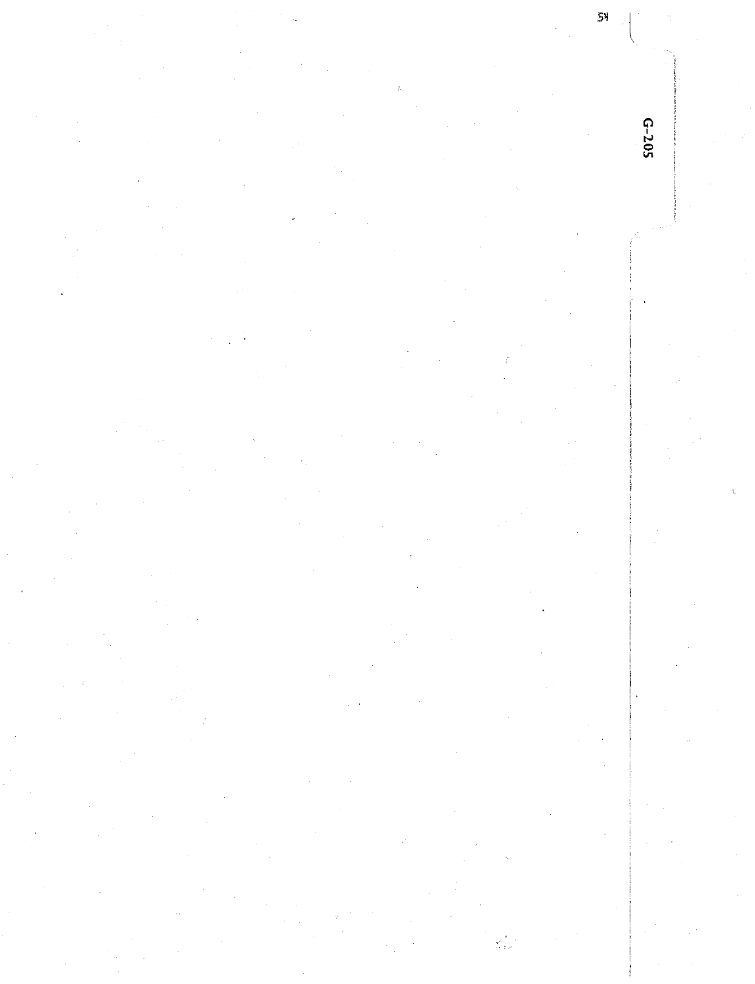įμ

 $G-2.05$ 

 $\mathsf{S}^{\mathfrak{g}}$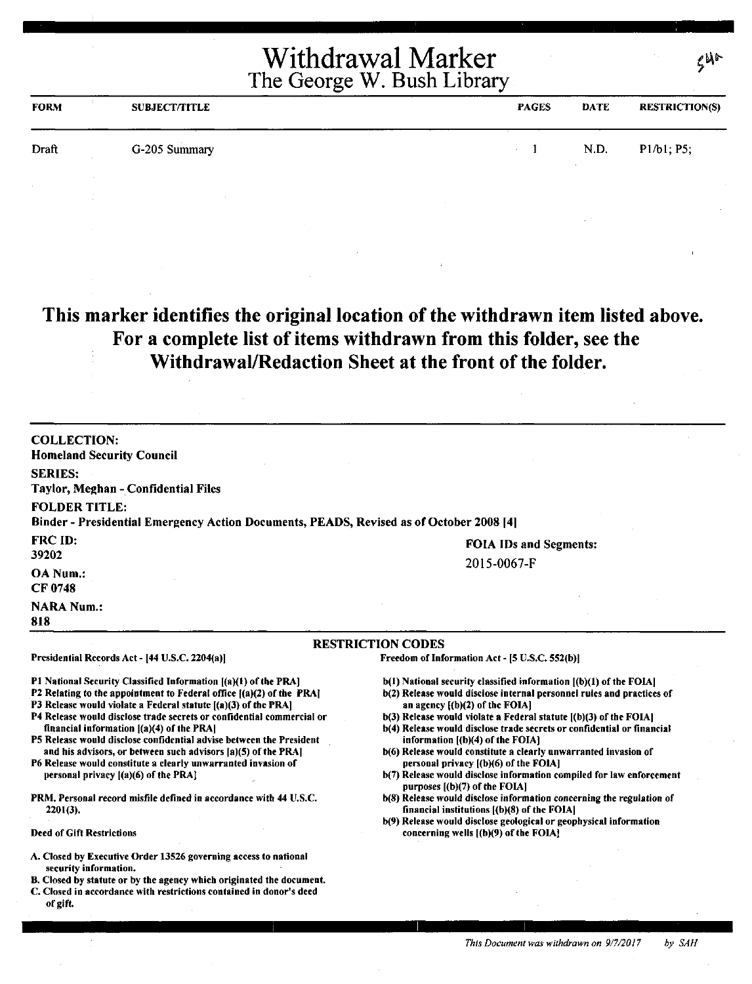| <b>FORM</b> | <b>SUBJECT/TITLE</b> | <b>PAGES</b> | <b>DATE</b> | <b>RESTRICTION(S)</b> |
|-------------|----------------------|--------------|-------------|-----------------------|
| Draft       | G-205 Summary        |              | N.D.        | P1/b1, P5;            |
|             |                      |              |             |                       |

## **This marker identifies the original location of the withdrawn item listed above. For a complete list of items withdrawn from this folder, see the Withdrawal/Redaction Sheet at the front of the folder.**

| <b>COLLECTION:</b><br><b>Homeland Security Council</b>                                                                                                                                                                                                                                                                                                                                                                                                                                                                                                                                                                                                                                                            |                                                                                                                                                                                                                                                                                                                                                                                                                                                                                                                                                                                                                                                                                                                                                                                                                                          |
|-------------------------------------------------------------------------------------------------------------------------------------------------------------------------------------------------------------------------------------------------------------------------------------------------------------------------------------------------------------------------------------------------------------------------------------------------------------------------------------------------------------------------------------------------------------------------------------------------------------------------------------------------------------------------------------------------------------------|------------------------------------------------------------------------------------------------------------------------------------------------------------------------------------------------------------------------------------------------------------------------------------------------------------------------------------------------------------------------------------------------------------------------------------------------------------------------------------------------------------------------------------------------------------------------------------------------------------------------------------------------------------------------------------------------------------------------------------------------------------------------------------------------------------------------------------------|
| <b>SERIES:</b>                                                                                                                                                                                                                                                                                                                                                                                                                                                                                                                                                                                                                                                                                                    |                                                                                                                                                                                                                                                                                                                                                                                                                                                                                                                                                                                                                                                                                                                                                                                                                                          |
| Taylor, Meghan - Confidential Files                                                                                                                                                                                                                                                                                                                                                                                                                                                                                                                                                                                                                                                                               |                                                                                                                                                                                                                                                                                                                                                                                                                                                                                                                                                                                                                                                                                                                                                                                                                                          |
| <b>FOLDER TITLE:</b><br>Binder - Presidential Emergency Action Documents, PEADS, Revised as of October 2008 [4]                                                                                                                                                                                                                                                                                                                                                                                                                                                                                                                                                                                                   |                                                                                                                                                                                                                                                                                                                                                                                                                                                                                                                                                                                                                                                                                                                                                                                                                                          |
| <b>FRC ID:</b>                                                                                                                                                                                                                                                                                                                                                                                                                                                                                                                                                                                                                                                                                                    | <b>FOIA IDs and Segments:</b>                                                                                                                                                                                                                                                                                                                                                                                                                                                                                                                                                                                                                                                                                                                                                                                                            |
| 39202                                                                                                                                                                                                                                                                                                                                                                                                                                                                                                                                                                                                                                                                                                             |                                                                                                                                                                                                                                                                                                                                                                                                                                                                                                                                                                                                                                                                                                                                                                                                                                          |
| OA Num.:<br>CF 0748                                                                                                                                                                                                                                                                                                                                                                                                                                                                                                                                                                                                                                                                                               | 2015-0067-F                                                                                                                                                                                                                                                                                                                                                                                                                                                                                                                                                                                                                                                                                                                                                                                                                              |
| <b>NARA Num.:</b><br>818                                                                                                                                                                                                                                                                                                                                                                                                                                                                                                                                                                                                                                                                                          |                                                                                                                                                                                                                                                                                                                                                                                                                                                                                                                                                                                                                                                                                                                                                                                                                                          |
|                                                                                                                                                                                                                                                                                                                                                                                                                                                                                                                                                                                                                                                                                                                   | <b>RESTRICTION CODES</b>                                                                                                                                                                                                                                                                                                                                                                                                                                                                                                                                                                                                                                                                                                                                                                                                                 |
| Presidential Records Act - [44 U.S.C. 2204(a)]                                                                                                                                                                                                                                                                                                                                                                                                                                                                                                                                                                                                                                                                    | Freedom of Information Act - [5 U.S.C. 552(b)]                                                                                                                                                                                                                                                                                                                                                                                                                                                                                                                                                                                                                                                                                                                                                                                           |
| P1 National Security Classified Information [(a)(1) of the PRA]<br>P2 Relating to the appointment to Federal office [(a)(2) of the PRA]<br>P3 Release would violate a Federal statute [(a)(3) of the PRA]<br>P4 Release would disclose trade secrets or confidential commercial or<br>financial information [(a)(4) of the PRA]<br>P5 Release would disclose confidential advise between the President<br>and his advisors, or between such advisors [a](5) of the PRA]<br>P6 Release would constitute a clearly unwarranted invasion of<br>personal privacy $($ a $)($ 6 $)$ of the PRA $]$<br>PRM, Personal record misfile defined in accordance with 44 U.S.C.<br>2201(3).<br><b>Deed of Gift Restrictions</b> | $b(1)$ National security classified information $(a)(1)$ of the FOIA<br>b(2) Release would disclose internal personnel rules and practices of<br>an agency $[(b)(2)$ of the FOIA]<br>$b(3)$ Release would violate a Federal statute $[(b)(3)$ of the FOIA]<br>b(4) Release would disclose trade secrets or confidential or financial<br>information $[(b)(4)$ of the FOIA]<br>b(6) Release would constitute a clearly unwarranted invasion of<br>personal privacy ((b)(6) of the FOIA]<br>b(7) Release would disclose information compiled for law enforcement<br>purposes $[(b)(7)$ of the FOIA]<br>b(8) Release would disclose information concerning the regulation of<br>financial institutions [(b)(8) of the FOIA]<br>b(9) Release would disclose geological or geophysical information<br>concerning wells $[(b)(9)$ of the FOIA] |
| A. Closed by Executive Order 13526 governing access to national<br>security information.<br>B. Closed by statute or by the agency which originated the document.<br>C. Closed in accordance with restrictions contained in donor's deed<br>of gift.                                                                                                                                                                                                                                                                                                                                                                                                                                                               |                                                                                                                                                                                                                                                                                                                                                                                                                                                                                                                                                                                                                                                                                                                                                                                                                                          |

٤Ŋ٥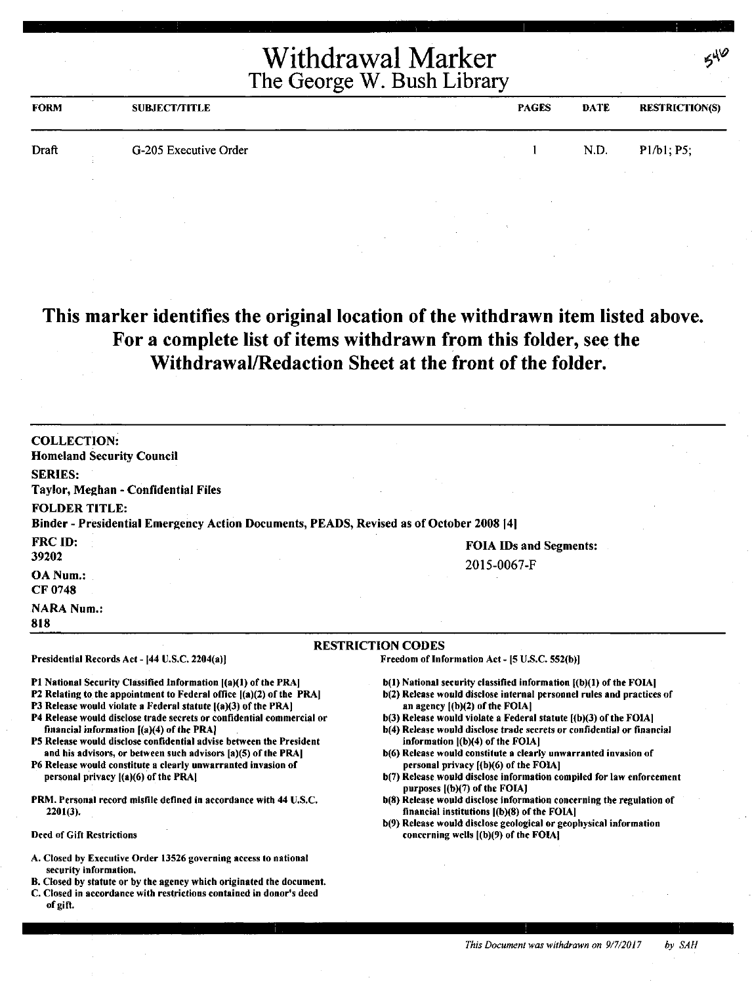| <b>FORM</b> | <b>SUBJECT/TITLE</b>  | <b>PAGES</b> | <b>DATE</b> | <b>RESTRICTION(S)</b> |
|-------------|-----------------------|--------------|-------------|-----------------------|
| Draft       | G-205 Executive Order |              | N.D.        | P1/b1; P5;            |
|             |                       |              |             |                       |

#### **This marker identifies the original location of the withdrawn item listed above. For a complete list of items withdrawn from this folder, see the Withdrawal/Redaction Sheet at the front of the folder.**

| <b>COLLECTION:</b>                                                                                                    |                                                                                                                                             |
|-----------------------------------------------------------------------------------------------------------------------|---------------------------------------------------------------------------------------------------------------------------------------------|
| <b>Homeland Security Council</b>                                                                                      |                                                                                                                                             |
| <b>SERIES:</b>                                                                                                        |                                                                                                                                             |
| Taylor, Meghan - Confidential Files                                                                                   |                                                                                                                                             |
| <b>FOLDER TITLE:</b>                                                                                                  |                                                                                                                                             |
| Binder - Presidential Emergency Action Documents, PEADS, Revised as of October 2008 [4]                               |                                                                                                                                             |
|                                                                                                                       |                                                                                                                                             |
| FRC ID:                                                                                                               | <b>FOIA IDs and Segments:</b>                                                                                                               |
| 39202                                                                                                                 | 2015-0067-F                                                                                                                                 |
| <b>OA Num.:</b>                                                                                                       |                                                                                                                                             |
| <b>CF 0748</b>                                                                                                        |                                                                                                                                             |
| <b>NARA Num.:</b>                                                                                                     |                                                                                                                                             |
| 818                                                                                                                   |                                                                                                                                             |
|                                                                                                                       |                                                                                                                                             |
|                                                                                                                       | <b>RESTRICTION CODES</b>                                                                                                                    |
| Presidential Records Act - [44 U.S.C. 2204(a)]                                                                        | Freedom of Information Act - [5 U.S.C. 552(b)]                                                                                              |
| P1 National Security Classified Information [(a)(1) of the PRA]                                                       | b(1) National security classified information [(b)(1) of the FOIA]                                                                          |
| <b>P2</b> Relating to the appointment to Federal office $[(a)(2)$ of the PRA                                          | b(2) Release would disclose internal personnel rules and practices of                                                                       |
| P3 Release would violate a Federal statute [(a)(3) of the PRA]                                                        | an agency $[(b)(2)$ of the FOIA]                                                                                                            |
| P4 Release would disclose trade secrets or confidential commercial or                                                 | b(3) Release would violate a Federal statute [(b)(3) of the FOIA]<br>b(4) Release would disclose trade secrets or confidential or financial |
| financial information $[(a)(4)$ of the PRA $]$<br>P5 Release would disclose confidential advise between the President | information $ (b)(4)$ of the FOIA]                                                                                                          |
| and his advisors, or between such advisors [a)(5) of the PRA]                                                         | b(6) Release would constitute a clearly unwarranted invasion of                                                                             |
| P6 Release would constitute a clearly unwarranted invasion of                                                         | personal privacy [(b)(6) of the FOIA]                                                                                                       |
| personal privacy [(a)(6) of the PRA]                                                                                  | b(7) Release would disclose information compiled for law enforcement<br>purposes $(6)(7)$ of the FOIA]                                      |
| PRM. Personal record misfile defined in accordance with 44 U.S.C.<br>$2201(3)$ .                                      | b(8) Release would disclose information concerning the regulation of<br>financial institutions [(b)(8) of the FOIA]                         |
|                                                                                                                       | b(9) Release would disclose geological or geophysical information                                                                           |
| <b>Deed of Gift Restrictions</b>                                                                                      | concerning wells ((b)(9) of the FOIA]                                                                                                       |
| A. Closed by Executive Order 13526 governing access to national                                                       |                                                                                                                                             |
| security information.                                                                                                 |                                                                                                                                             |
| B. Closed by statute or by the agency which originated the document.                                                  |                                                                                                                                             |
| C. Closed in accordance with restrictions contained in donor's deed<br>of gift.                                       |                                                                                                                                             |
|                                                                                                                       |                                                                                                                                             |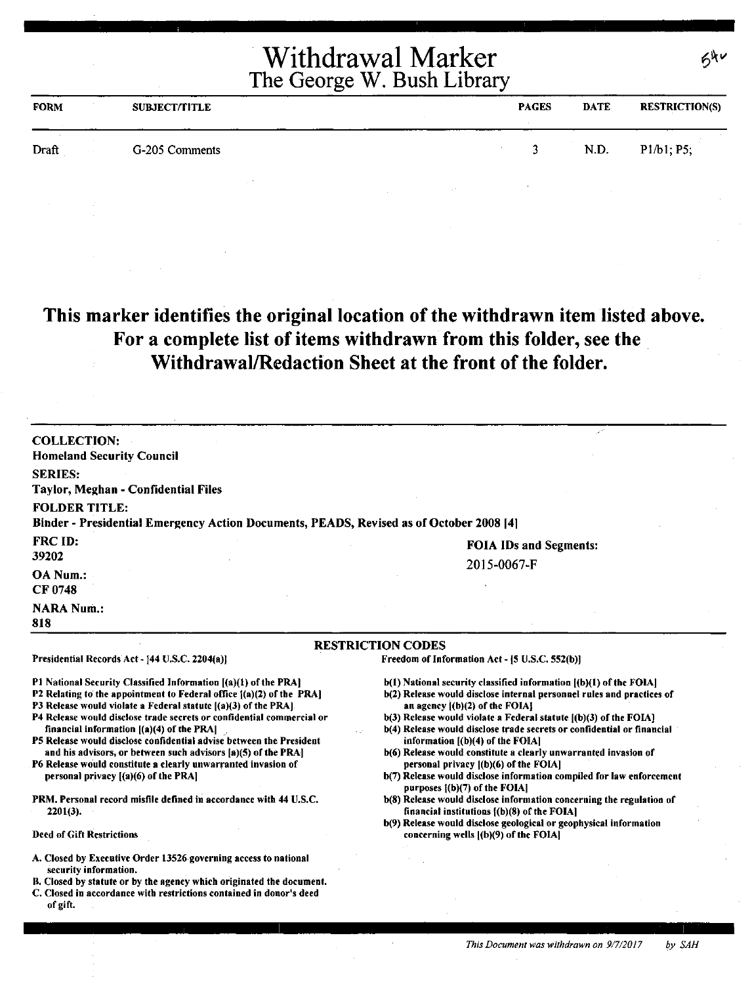|       |                | Withdrawal Marker<br>The George W. Bush Library |             | ろんへ                   |  |
|-------|----------------|-------------------------------------------------|-------------|-----------------------|--|
| FORM  | SUBJECT/TITLE  | <b>PAGES</b>                                    | <b>DATE</b> | <b>RESTRICTION(S)</b> |  |
| Draft | G-205 Comments |                                                 | N.D.        | P1/b1; P5;            |  |

#### **This marker identifies the original location of the withdrawn item listed above. For a complete list of items withdrawn from this folder, see the Withdrawal/Redaction Sheet at the front of the folder.**

| <b>COLLECTION:</b><br><b>Homeland Security Council</b>                                                                                                                                                                                                                                                                                                                                                                                                                                                                                                                                                                                                                                                     | الممتمد                                                                                                                                                                                                                                                                                                                                                                                                                                                                                                                                                                                                                                                                                                                                                                                                                                     |
|------------------------------------------------------------------------------------------------------------------------------------------------------------------------------------------------------------------------------------------------------------------------------------------------------------------------------------------------------------------------------------------------------------------------------------------------------------------------------------------------------------------------------------------------------------------------------------------------------------------------------------------------------------------------------------------------------------|---------------------------------------------------------------------------------------------------------------------------------------------------------------------------------------------------------------------------------------------------------------------------------------------------------------------------------------------------------------------------------------------------------------------------------------------------------------------------------------------------------------------------------------------------------------------------------------------------------------------------------------------------------------------------------------------------------------------------------------------------------------------------------------------------------------------------------------------|
|                                                                                                                                                                                                                                                                                                                                                                                                                                                                                                                                                                                                                                                                                                            |                                                                                                                                                                                                                                                                                                                                                                                                                                                                                                                                                                                                                                                                                                                                                                                                                                             |
| <b>SERIES:</b><br>Taylor, Meghan - Confidential Files                                                                                                                                                                                                                                                                                                                                                                                                                                                                                                                                                                                                                                                      |                                                                                                                                                                                                                                                                                                                                                                                                                                                                                                                                                                                                                                                                                                                                                                                                                                             |
|                                                                                                                                                                                                                                                                                                                                                                                                                                                                                                                                                                                                                                                                                                            |                                                                                                                                                                                                                                                                                                                                                                                                                                                                                                                                                                                                                                                                                                                                                                                                                                             |
| <b>FOLDER TITLE:</b><br>Binder - Presidential Emergency Action Documents, PEADS, Revised as of October 2008 [4]                                                                                                                                                                                                                                                                                                                                                                                                                                                                                                                                                                                            |                                                                                                                                                                                                                                                                                                                                                                                                                                                                                                                                                                                                                                                                                                                                                                                                                                             |
|                                                                                                                                                                                                                                                                                                                                                                                                                                                                                                                                                                                                                                                                                                            |                                                                                                                                                                                                                                                                                                                                                                                                                                                                                                                                                                                                                                                                                                                                                                                                                                             |
| <b>FRC ID:</b>                                                                                                                                                                                                                                                                                                                                                                                                                                                                                                                                                                                                                                                                                             | <b>FOIA IDs and Segments:</b>                                                                                                                                                                                                                                                                                                                                                                                                                                                                                                                                                                                                                                                                                                                                                                                                               |
| 39202                                                                                                                                                                                                                                                                                                                                                                                                                                                                                                                                                                                                                                                                                                      | 2015-0067-F                                                                                                                                                                                                                                                                                                                                                                                                                                                                                                                                                                                                                                                                                                                                                                                                                                 |
| OA Num.:                                                                                                                                                                                                                                                                                                                                                                                                                                                                                                                                                                                                                                                                                                   |                                                                                                                                                                                                                                                                                                                                                                                                                                                                                                                                                                                                                                                                                                                                                                                                                                             |
| CF 0748                                                                                                                                                                                                                                                                                                                                                                                                                                                                                                                                                                                                                                                                                                    |                                                                                                                                                                                                                                                                                                                                                                                                                                                                                                                                                                                                                                                                                                                                                                                                                                             |
| <b>NARA Num.:</b>                                                                                                                                                                                                                                                                                                                                                                                                                                                                                                                                                                                                                                                                                          |                                                                                                                                                                                                                                                                                                                                                                                                                                                                                                                                                                                                                                                                                                                                                                                                                                             |
| 818                                                                                                                                                                                                                                                                                                                                                                                                                                                                                                                                                                                                                                                                                                        |                                                                                                                                                                                                                                                                                                                                                                                                                                                                                                                                                                                                                                                                                                                                                                                                                                             |
|                                                                                                                                                                                                                                                                                                                                                                                                                                                                                                                                                                                                                                                                                                            | <b>RESTRICTION CODES</b>                                                                                                                                                                                                                                                                                                                                                                                                                                                                                                                                                                                                                                                                                                                                                                                                                    |
| Presidential Records Act - [44 U.S.C. 2204(a)]                                                                                                                                                                                                                                                                                                                                                                                                                                                                                                                                                                                                                                                             | Freedom of Information Act - [5 U.S.C. 552(b)]                                                                                                                                                                                                                                                                                                                                                                                                                                                                                                                                                                                                                                                                                                                                                                                              |
| P1 National Security Classified Information [(a)(1) of the PRA]<br>P2 Relating to the appointment to Federal office ((a)(2) of the PRA]<br>P3 Release would violate a Federal statute $(a)(3)$ of the PRA.<br>P4 Release would disclose trade secrets or confidential commercial or<br>financial information $[(a)(4)$ of the PRA<br>P5 Release would disclose confidential advise between the President<br>and his advisors, or between such advisors [a)(5) of the PRA]<br>P6 Release would constitute a clearly unwarranted invasion of<br>personal privacy [(a)(6) of the PRA]<br>PRM, Personal record misfile defined in accordance with 44 U.S.C.<br>$2201(3)$ .<br><b>Deed of Gift Restrictions</b> | $b(1)$ National security classified information $[(b)(1)$ of the FOIA]<br>b(2) Release would disclose internal personnel rules and practices of<br>an agency $I(b)(2)$ of the FOIAl<br>$b(3)$ Release would violate a Federal statute $(6)(3)$ of the FOIA]<br>b(4) Release would disclose trade secrets or confidential or financial<br>information [(b)(4) of the FOIA]<br>b(6) Release would constitute a clearly unwarranted invasion of<br>personal privacy [(b)(6) of the FOIA]<br>b(7) Release would disclose information compiled for law enforcement<br>purposes $($ (b) $(7)$ of the FOIA]<br>b(8) Release would disclose information concerning the regulation of<br>financial institutions {(b)(8) of the FOIA]<br>b(9) Release would disclose geological or geophysical information<br>concerning wells $ (b)(9)$ of the FOIA] |
| A. Closed by Executive Order 13526 governing access to national<br>security information.<br>B. Closed by statute or by the agency which originated the document.<br>C. Closed in accordance with restrictions contained in donor's deed<br>of gift.                                                                                                                                                                                                                                                                                                                                                                                                                                                        |                                                                                                                                                                                                                                                                                                                                                                                                                                                                                                                                                                                                                                                                                                                                                                                                                                             |